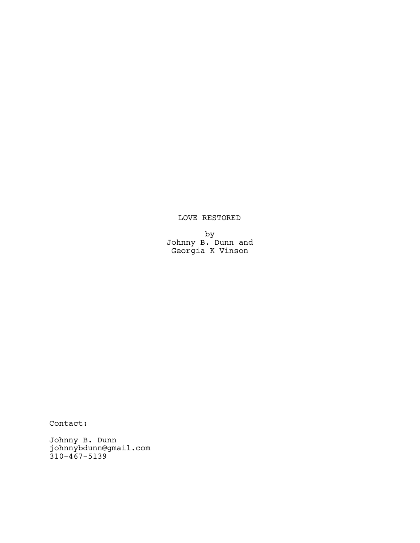# LOVE RESTORED

by Johnny B. Dunn and Georgia K Vinson

Contact:

Johnny B. Dunn johnnybdunn@gmail.com 310-467-5139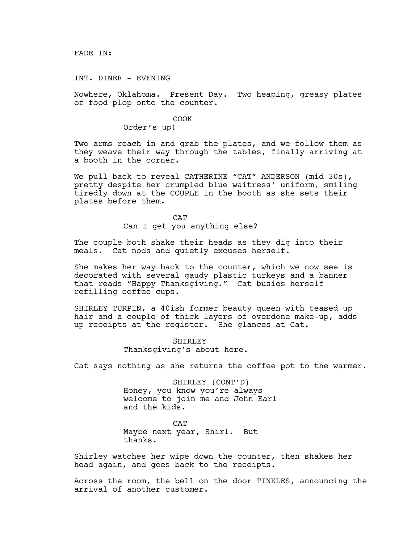INT. DINER - EVENING

Nowhere, Oklahoma. Present Day. Two heaping, greasy plates of food plop onto the counter.

## COOK

## Order's up!

Two arms reach in and grab the plates, and we follow them as they weave their way through the tables, finally arriving at a booth in the corner.

We pull back to reveal CATHERINE "CAT" ANDERSON (mid 30s), pretty despite her crumpled blue waitress' uniform, smiling tiredly down at the COUPLE in the booth as she sets their plates before them.

> CAT Can I get you anything else?

The couple both shake their heads as they dig into their meals. Cat nods and quietly excuses herself.

She makes her way back to the counter, which we now see is decorated with several gaudy plastic turkeys and a banner that reads "Happy Thanksgiving." Cat busies herself refilling coffee cups.

SHIRLEY TURPIN, a 40ish former beauty queen with teased up hair and a couple of thick layers of overdone make-up, adds up receipts at the register. She glances at Cat.

> SHIRLEY Thanksgiving's about here.

Cat says nothing as she returns the coffee pot to the warmer.

SHIRLEY (CONT'D) Honey, you know you're always welcome to join me and John Earl and the kids.

**CAT** Maybe next year, Shirl. But thanks.

Shirley watches her wipe down the counter, then shakes her head again, and goes back to the receipts.

Across the room, the bell on the door TINKLES, announcing the arrival of another customer.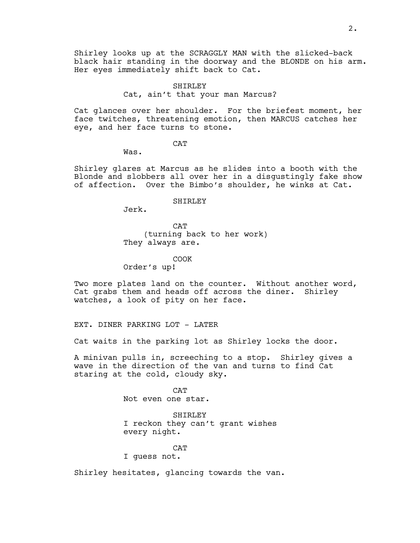Shirley looks up at the SCRAGGLY MAN with the slicked-back black hair standing in the doorway and the BLONDE on his arm. Her eyes immediately shift back to Cat.

### SHIRLEY

Cat, ain't that your man Marcus?

Cat glances over her shoulder. For the briefest moment, her face twitches, threatening emotion, then MARCUS catches her eye, and her face turns to stone.

**CAT** 

Was.

Shirley glares at Marcus as he slides into a booth with the Blonde and slobbers all over her in a disgustingly fake show of affection. Over the Bimbo's shoulder, he winks at Cat.

#### SHIRLEY

Jerk.

CAT (turning back to her work) They always are.

#### COOK

Order's up!

Two more plates land on the counter. Without another word, Cat grabs them and heads off across the diner. Shirley watches, a look of pity on her face.

EXT. DINER PARKING LOT - LATER

Cat waits in the parking lot as Shirley locks the door.

A minivan pulls in, screeching to a stop. Shirley gives a wave in the direction of the van and turns to find Cat staring at the cold, cloudy sky.

> **CAT** Not even one star.

SHIRLEY I reckon they can't grant wishes every night.

CAT I guess not.

Shirley hesitates, glancing towards the van.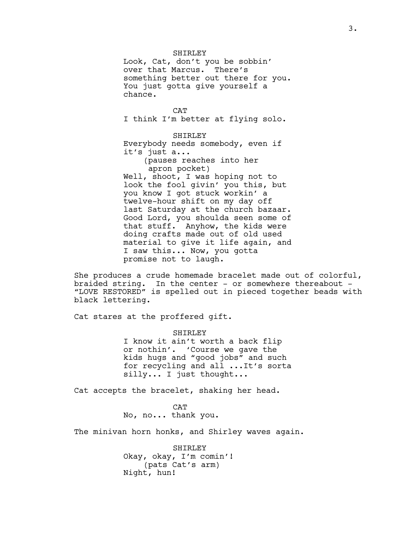SHIRLEY

Look, Cat, don't you be sobbin' over that Marcus. There's something better out there for you. You just gotta give yourself a chance.

**CAT** I think I'm better at flying solo.

SHIRLEY Everybody needs somebody, even if it's just a... (pauses reaches into her apron pocket) Well, shoot, I was hoping not to look the fool givin' you this, but you know I got stuck workin' a twelve-hour shift on my day off last Saturday at the church bazaar. Good Lord, you shoulda seen some of that stuff. Anyhow, the kids were doing crafts made out of old used material to give it life again, and I saw this... Now, you gotta promise not to laugh.

She produces a crude homemade bracelet made out of colorful, braided string. In the center - or somewhere thereabout - "LOVE RESTORED" is spelled out in pieced together beads with black lettering.

Cat stares at the proffered gift.

SHIRLEY I know it ain't worth a back flip or nothin'. 'Course we gave the kids hugs and "good jobs" and such for recycling and all ...It's sorta silly... I just thought...

Cat accepts the bracelet, shaking her head.

CAT No, no... thank you.

The minivan horn honks, and Shirley waves again.

SHIRLEY Okay, okay, I'm comin'! (pats Cat's arm) Night, hun!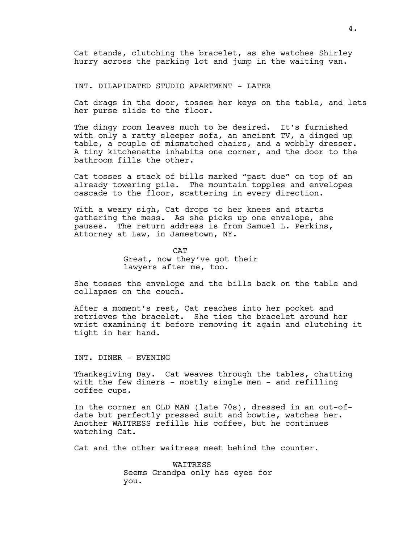Cat stands, clutching the bracelet, as she watches Shirley hurry across the parking lot and jump in the waiting van.

#### INT. DILAPIDATED STUDIO APARTMENT - LATER

Cat drags in the door, tosses her keys on the table, and lets her purse slide to the floor.

The dingy room leaves much to be desired. It's furnished with only a ratty sleeper sofa, an ancient TV, a dinged up table, a couple of mismatched chairs, and a wobbly dresser. A tiny kitchenette inhabits one corner, and the door to the bathroom fills the other.

Cat tosses a stack of bills marked "past due" on top of an already towering pile. The mountain topples and envelopes cascade to the floor, scattering in every direction.

With a weary sigh, Cat drops to her knees and starts gathering the mess. As she picks up one envelope, she pauses. The return address is from Samuel L. Perkins, Attorney at Law, in Jamestown, NY.

> **CAT** Great, now they've got their lawyers after me, too.

She tosses the envelope and the bills back on the table and collapses on the couch.

After a moment's rest, Cat reaches into her pocket and retrieves the bracelet. She ties the bracelet around her wrist examining it before removing it again and clutching it tight in her hand.

INT. DINER - EVENING

Thanksgiving Day. Cat weaves through the tables, chatting with the few diners - mostly single men - and refilling coffee cups.

In the corner an OLD MAN (late 70s), dressed in an out-ofdate but perfectly pressed suit and bowtie, watches her. Another WAITRESS refills his coffee, but he continues watching Cat.

Cat and the other waitress meet behind the counter.

WAITRESS Seems Grandpa only has eyes for you.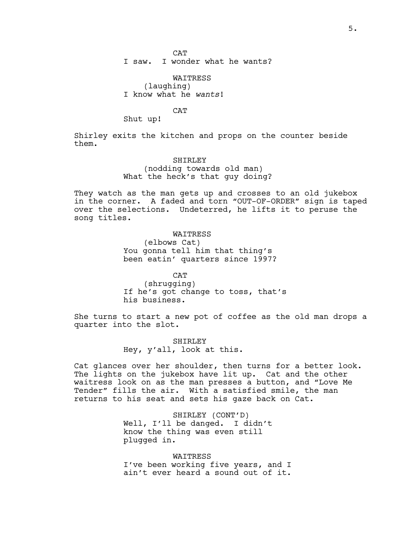**CAT** 

I saw. I wonder what he wants?

WAITRESS (laughing) I know what he wants!

CAT

Shut up!

Shirley exits the kitchen and props on the counter beside them.

> SHIRLEY (nodding towards old man) What the heck's that guy doing?

They watch as the man gets up and crosses to an old jukebox in the corner. A faded and torn "OUT-OF-ORDER" sign is taped over the selections. Undeterred, he lifts it to peruse the song titles.

> WAITRESS (elbows Cat) You gonna tell him that thing's been eatin' quarters since 1997?

CAT (shrugging) If he's got change to toss, that's his business.

She turns to start a new pot of coffee as the old man drops a quarter into the slot.

> SHIRLEY Hey, y'all, look at this.

Cat glances over her shoulder, then turns for a better look. The lights on the jukebox have lit up. Cat and the other waitress look on as the man presses a button, and "Love Me Tender" fills the air. With a satisfied smile, the man returns to his seat and sets his gaze back on Cat.

> SHIRLEY (CONT'D) Well, I'll be danged. I didn't know the thing was even still plugged in.

WAITRESS I've been working five years, and I ain't ever heard a sound out of it.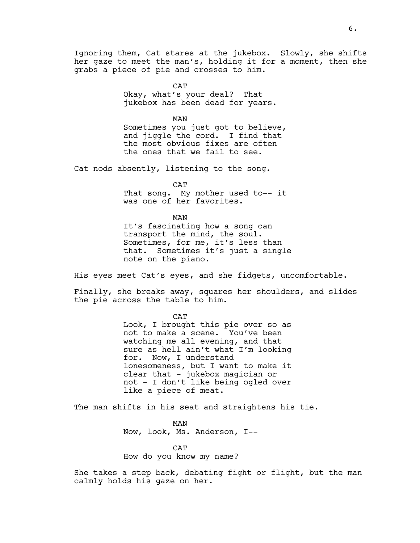Ignoring them, Cat stares at the jukebox. Slowly, she shifts her gaze to meet the man's, holding it for a moment, then she grabs a piece of pie and crosses to him.

> **CAT** Okay, what's your deal? That jukebox has been dead for years.

MAN Sometimes you just got to believe, and jiggle the cord. I find that the most obvious fixes are often the ones that we fail to see.

Cat nods absently, listening to the song.

**CAT** That song. My mother used to-- it was one of her favorites.

MAN It's fascinating how a song can transport the mind, the soul. Sometimes, for me, it's less than that. Sometimes it's just a single note on the piano.

His eyes meet Cat's eyes, and she fidgets, uncomfortable.

Finally, she breaks away, squares her shoulders, and slides the pie across the table to him.

> **CAT** Look, I brought this pie over so as not to make a scene. You've been watching me all evening, and that sure as hell ain't what I'm looking for. Now, I understand lonesomeness, but I want to make it clear that - jukebox magician or not - I don't like being ogled over like a piece of meat.

The man shifts in his seat and straightens his tie.

MAN Now, look, Ms. Anderson, I--

**CAT** How do you know my name?

She takes a step back, debating fight or flight, but the man calmly holds his gaze on her.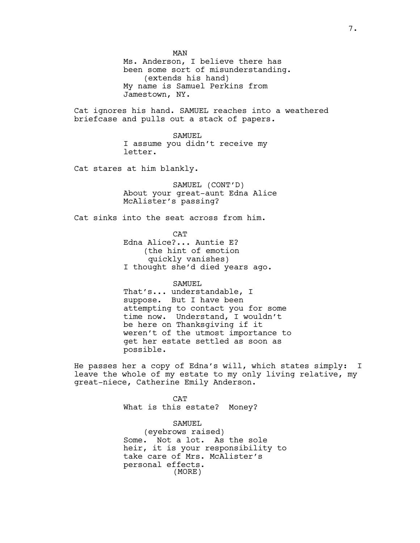MAN Ms. Anderson, I believe there has been some sort of misunderstanding. (extends his hand) My name is Samuel Perkins from Jamestown, NY.

Cat ignores his hand. SAMUEL reaches into a weathered briefcase and pulls out a stack of papers.

> SAMUEL I assume you didn't receive my letter.

Cat stares at him blankly.

SAMUEL (CONT'D) About your great-aunt Edna Alice McAlister's passing?

Cat sinks into the seat across from him.

**CAT** Edna Alice?... Auntie E? (the hint of emotion quickly vanishes) I thought she'd died years ago.

SAMUEL

That's... understandable, I suppose. But I have been attempting to contact you for some time now. Understand, I wouldn't be here on Thanksgiving if it weren't of the utmost importance to get her estate settled as soon as possible.

He passes her a copy of Edna's will, which states simply: I leave the whole of my estate to my only living relative, my great-niece, Catherine Emily Anderson.

> CAT What is this estate? Money?

SAMUEL (eyebrows raised) Some. Not a lot. As the sole heir, it is your responsibility to take care of Mrs. McAlister's personal effects. (MORE)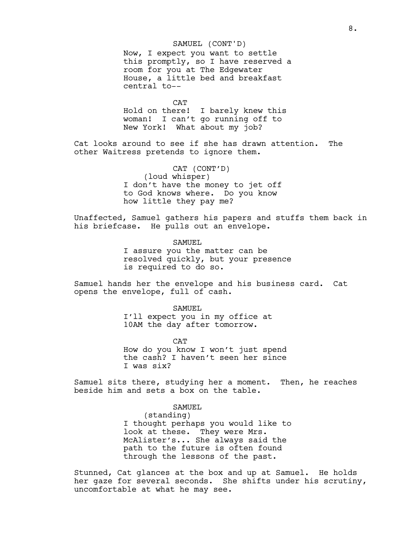#### SAMUEL (CONT'D)

Now, I expect you want to settle this promptly, so I have reserved a room for you at The Edgewater House, a little bed and breakfast central to--

CAT

Hold on there! I barely knew this woman! I can't go running off to New York! What about my job?

Cat looks around to see if she has drawn attention. The other Waitress pretends to ignore them.

> CAT (CONT'D) (loud whisper) I don't have the money to jet off to God knows where. Do you know how little they pay me?

Unaffected, Samuel gathers his papers and stuffs them back in his briefcase. He pulls out an envelope.

> SAMUEL I assure you the matter can be resolved quickly, but your presence is required to do so.

Samuel hands her the envelope and his business card. Cat opens the envelope, full of cash.

> SAMUEL I'll expect you in my office at 10AM the day after tomorrow.

**CAT** How do you know I won't just spend the cash? I haven't seen her since I was six?

Samuel sits there, studying her a moment. Then, he reaches beside him and sets a box on the table.

SAMUEL

(standing) I thought perhaps you would like to look at these. They were Mrs. McAlister's... She always said the path to the future is often found through the lessons of the past.

Stunned, Cat glances at the box and up at Samuel. He holds her gaze for several seconds. She shifts under his scrutiny, uncomfortable at what he may see.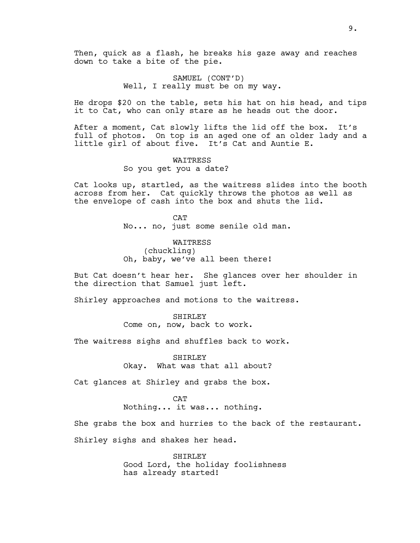Then, quick as a flash, he breaks his gaze away and reaches down to take a bite of the pie.

> SAMUEL (CONT'D) Well, I really must be on my way.

He drops \$20 on the table, sets his hat on his head, and tips it to Cat, who can only stare as he heads out the door.

After a moment, Cat slowly lifts the lid off the box. It's full of photos. On top is an aged one of an older lady and a little girl of about five. It's Cat and Auntie E.

> WAITRESS So you get you a date?

Cat looks up, startled, as the waitress slides into the booth across from her. Cat quickly throws the photos as well as the envelope of cash into the box and shuts the lid.

> CAT No... no, just some senile old man.

WAITRESS (chuckling) Oh, baby, we've all been there!

But Cat doesn't hear her. She glances over her shoulder in the direction that Samuel just left.

Shirley approaches and motions to the waitress.

SHIRLEY Come on, now, back to work.

The waitress sighs and shuffles back to work.

SHIRLEY Okay. What was that all about?

Cat glances at Shirley and grabs the box.

**CAT** Nothing... it was... nothing.

She grabs the box and hurries to the back of the restaurant. Shirley sighs and shakes her head.

> SHIRLEY Good Lord, the holiday foolishness has already started!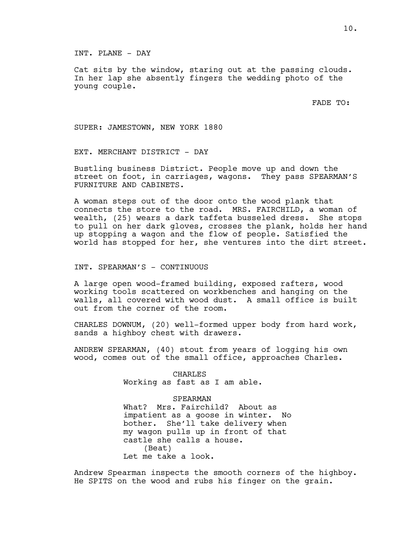INT. PLANE - DAY

Cat sits by the window, staring out at the passing clouds. In her lap she absently fingers the wedding photo of the young couple.

FADE TO:

SUPER: JAMESTOWN, NEW YORK 1880

EXT. MERCHANT DISTRICT - DAY

Bustling business District. People move up and down the street on foot, in carriages, wagons. They pass SPEARMAN'S FURNITURE AND CABINETS.

A woman steps out of the door onto the wood plank that connects the store to the road. MRS. FAIRCHILD, a woman of wealth, (25) wears a dark taffeta busseled dress. She stops to pull on her dark gloves, crosses the plank, holds her hand up stopping a wagon and the flow of people. Satisfied the world has stopped for her, she ventures into the dirt street.

INT. SPEARMAN'S - CONTINUOUS

A large open wood-framed building, exposed rafters, wood working tools scattered on workbenches and hanging on the walls, all covered with wood dust. A small office is built out from the corner of the room.

CHARLES DOWNUM, (20) well-formed upper body from hard work, sands a highboy chest with drawers.

ANDREW SPEARMAN, (40) stout from years of logging his own wood, comes out of the small office, approaches Charles.

> CHARLES Working as fast as I am able.

SPEARMAN What? Mrs. Fairchild? About as impatient as a goose in winter. No bother. She'll take delivery when my wagon pulls up in front of that castle she calls a house. (Beat) Let me take a look.

Andrew Spearman inspects the smooth corners of the highboy. He SPITS on the wood and rubs his finger on the grain.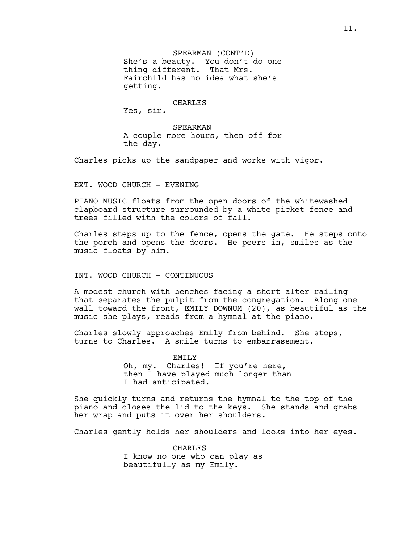SPEARMAN (CONT'D) She's a beauty. You don't do one thing different. That Mrs. Fairchild has no idea what she's getting.

#### CHARLES

Yes, sir.

SPEARMAN A couple more hours, then off for the day.

Charles picks up the sandpaper and works with vigor.

#### EXT. WOOD CHURCH - EVENING

PIANO MUSIC floats from the open doors of the whitewashed clapboard structure surrounded by a white picket fence and trees filled with the colors of fall.

Charles steps up to the fence, opens the gate. He steps onto the porch and opens the doors. He peers in, smiles as the music floats by him.

### INT. WOOD CHURCH - CONTINUOUS

A modest church with benches facing a short alter railing that separates the pulpit from the congregation. Along one wall toward the front, EMILY DOWNUM (20), as beautiful as the music she plays, reads from a hymnal at the piano.

Charles slowly approaches Emily from behind. She stops, turns to Charles. A smile turns to embarrassment.

> EMTT.Y Oh, my. Charles! If you're here, then I have played much longer than I had anticipated.

She quickly turns and returns the hymnal to the top of the piano and closes the lid to the keys. She stands and grabs her wrap and puts it over her shoulders.

Charles gently holds her shoulders and looks into her eyes.

CHARLES I know no one who can play as beautifully as my Emily.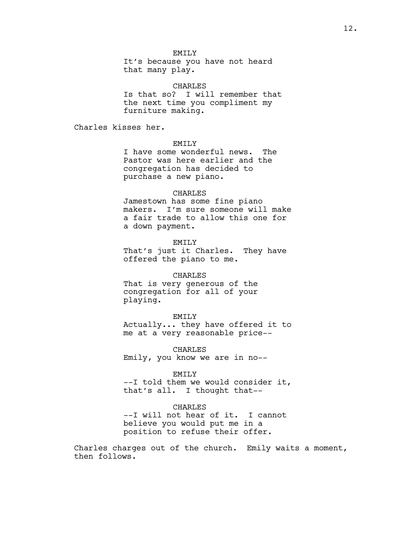EMTT<sub>.</sub>Y

It's because you have not heard that many play.

CHARLES Is that so? I will remember that the next time you compliment my furniture making.

Charles kisses her.

EMTT<sub>.</sub>Y

I have some wonderful news. The Pastor was here earlier and the congregation has decided to purchase a new piano.

#### CHARLES

Jamestown has some fine piano makers. I'm sure someone will make a fair trade to allow this one for a down payment.

EMILY

That's just it Charles. They have offered the piano to me.

### CHARLES

That is very generous of the congregation for all of your playing.

#### EMILY

Actually... they have offered it to me at a very reasonable price--

CHARLES Emily, you know we are in no--

EMILY

--I told them we would consider it, that's all. I thought that--

## CHARLES

--I will not hear of it. I cannot believe you would put me in a position to refuse their offer.

Charles charges out of the church. Emily waits a moment, then follows.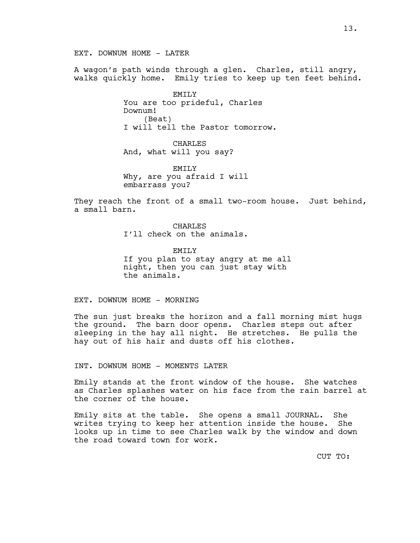EXT. DOWNUM HOME - LATER

A wagon's path winds through a glen. Charles, still angry, walks quickly home. Emily tries to keep up ten feet behind.

> EMILY You are too prideful, Charles Downum! (Beat) I will tell the Pastor tomorrow.

CHARLES And, what will you say?

EMILY Why, are you afraid I will embarrass you?

They reach the front of a small two-room house. Just behind, a small barn.

> CHARLES I'll check on the animals.

EMTT<sub>.</sub>Y If you plan to stay angry at me all night, then you can just stay with the animals.

EXT. DOWNUM HOME - MORNING

The sun just breaks the horizon and a fall morning mist hugs the ground. The barn door opens. Charles steps out after sleeping in the hay all night. He stretches. He pulls the hay out of his hair and dusts off his clothes.

INT. DOWNUM HOME - MOMENTS LATER

Emily stands at the front window of the house. She watches as Charles splashes water on his face from the rain barrel at the corner of the house.

Emily sits at the table. She opens a small JOURNAL. She writes trying to keep her attention inside the house. She looks up in time to see Charles walk by the window and down the road toward town for work.

CUT TO: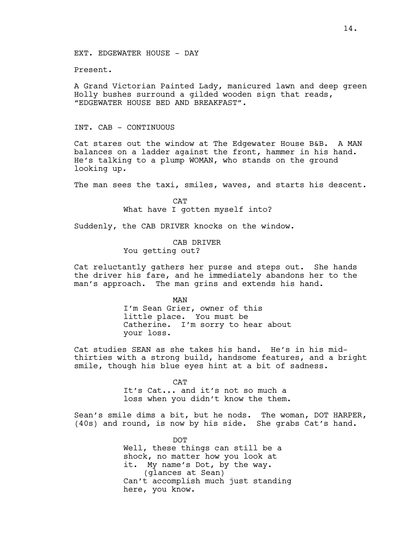## Present.

A Grand Victorian Painted Lady, manicured lawn and deep green Holly bushes surround a gilded wooden sign that reads, "EDGEWATER HOUSE BED AND BREAKFAST".

### INT. CAB - CONTINUOUS

Cat stares out the window at The Edgewater House B&B. A MAN balances on a ladder against the front, hammer in his hand. He's talking to a plump WOMAN, who stands on the ground looking up.

The man sees the taxi, smiles, waves, and starts his descent.

CAT What have I gotten myself into?

Suddenly, the CAB DRIVER knocks on the window.

CAB DRIVER You getting out?

Cat reluctantly gathers her purse and steps out. She hands the driver his fare, and he immediately abandons her to the man's approach. The man grins and extends his hand.

> MAN I'm Sean Grier, owner of this little place. You must be Catherine. I'm sorry to hear about your loss.

Cat studies SEAN as she takes his hand. He's in his midthirties with a strong build, handsome features, and a bright smile, though his blue eyes hint at a bit of sadness.

> **CAT** It's Cat... and it's not so much a loss when you didn't know the them.

Sean's smile dims a bit, but he nods. The woman, DOT HARPER, (40s) and round, is now by his side. She grabs Cat's hand.

> **DOT** Well, these things can still be a shock, no matter how you look at it. My name's Dot, by the way. (glances at Sean) Can't accomplish much just standing here, you know.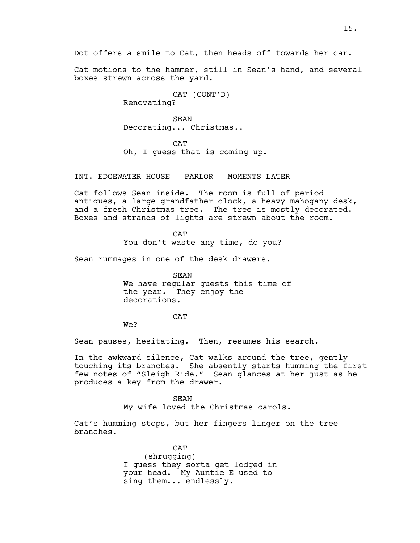Dot offers a smile to Cat, then heads off towards her car.

Cat motions to the hammer, still in Sean's hand, and several boxes strewn across the yard.

> CAT (CONT'D) Renovating?

SEAN Decorating... Christmas..

 $CAP$ 

Oh, I guess that is coming up.

INT. EDGEWATER HOUSE - PARLOR - MOMENTS LATER

Cat follows Sean inside. The room is full of period antiques, a large grandfather clock, a heavy mahogany desk, and a fresh Christmas tree. The tree is mostly decorated. Boxes and strands of lights are strewn about the room.

> **CAT** You don't waste any time, do you?

Sean rummages in one of the desk drawers.

SEAN We have regular guests this time of the year. They enjoy the decorations.

CAT

We?

Sean pauses, hesitating. Then, resumes his search.

In the awkward silence, Cat walks around the tree, gently touching its branches. She absently starts humming the first few notes of "Sleigh Ride." Sean glances at her just as he produces a key from the drawer.

> **SEAN** My wife loved the Christmas carols.

Cat's humming stops, but her fingers linger on the tree branches.

> CAT (shrugging) I guess they sorta get lodged in your head. My Auntie E used to sing them... endlessly.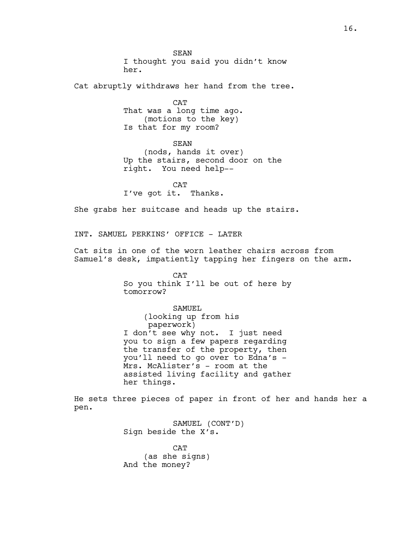SEAN I thought you said you didn't know her.

Cat abruptly withdraws her hand from the tree.

CAT That was a long time ago. (motions to the key) Is that for my room?

SEAN (nods, hands it over) Up the stairs, second door on the right. You need help--

**CAT** I've got it. Thanks.

She grabs her suitcase and heads up the stairs.

INT. SAMUEL PERKINS' OFFICE - LATER

Cat sits in one of the worn leather chairs across from Samuel's desk, impatiently tapping her fingers on the arm.

> CAT So you think I'll be out of here by tomorrow?

> SAMUEL (looking up from his paperwork) I don't see why not. I just need you to sign a few papers regarding the transfer of the property, then you'll need to go over to Edna's - Mrs. McAlister's - room at the assisted living facility and gather her things.

He sets three pieces of paper in front of her and hands her a pen.

> SAMUEL (CONT'D) Sign beside the X's. CAT (as she signs) And the money?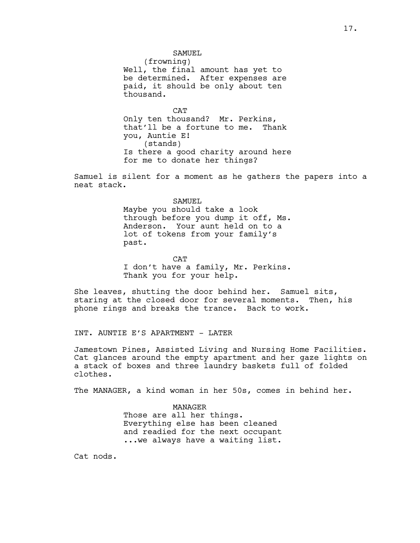SAMUEL.

(frowning) Well, the final amount has yet to be determined. After expenses are paid, it should be only about ten thousand.

**CAT** Only ten thousand? Mr. Perkins,<br>that'll be a fortune to me. Thank that'll be a fortune to me. you, Auntie E! (stands) Is there a good charity around here for me to donate her things?

Samuel is silent for a moment as he gathers the papers into a neat stack.

#### SAMUEL

Maybe you should take a look through before you dump it off, Ms. Anderson. Your aunt held on to a lot of tokens from your family's past.

**CAT** I don't have a family, Mr. Perkins. Thank you for your help.

She leaves, shutting the door behind her. Samuel sits, staring at the closed door for several moments. Then, his phone rings and breaks the trance. Back to work.

INT. AUNTIE E'S APARTMENT - LATER

Jamestown Pines, Assisted Living and Nursing Home Facilities. Cat glances around the empty apartment and her gaze lights on a stack of boxes and three laundry baskets full of folded clothes.

The MANAGER, a kind woman in her 50s, comes in behind her.

## MANAGER Those are all her things. Everything else has been cleaned and readied for the next occupant ...we always have a waiting list.

Cat nods.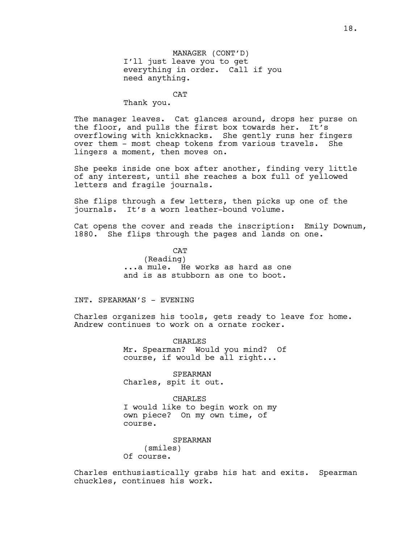### CAT

Thank you.

The manager leaves. Cat glances around, drops her purse on the floor, and pulls the first box towards her. It's overflowing with knickknacks. She gently runs her fingers over them - most cheap tokens from various travels. She lingers a moment, then moves on.

She peeks inside one box after another, finding very little of any interest, until she reaches a box full of yellowed letters and fragile journals.

She flips through a few letters, then picks up one of the journals. It's a worn leather-bound volume.

Cat opens the cover and reads the inscription: Emily Downum, 1880. She flips through the pages and lands on one.

> **CAT** (Reading) ...a mule. He works as hard as one and is as stubborn as one to boot.

## INT. SPEARMAN'S - EVENING

Charles organizes his tools, gets ready to leave for home. Andrew continues to work on a ornate rocker.

> CHARLES Mr. Spearman? Would you mind? Of course, if would be all right...

SPEARMAN Charles, spit it out.

CHARLES I would like to begin work on my own piece? On my own time, of course.

SPEARMAN (smiles) Of course.

Charles enthusiastically grabs his hat and exits. Spearman chuckles, continues his work.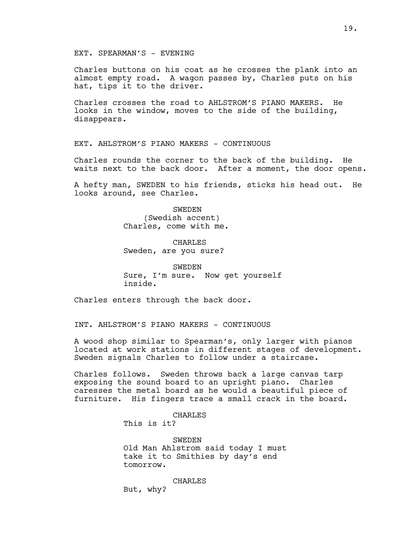## EXT. SPEARMAN'S - EVENING

Charles buttons on his coat as he crosses the plank into an almost empty road. A wagon passes by, Charles puts on his hat, tips it to the driver.

Charles crosses the road to AHLSTROM'S PIANO MAKERS. He looks in the window, moves to the side of the building, disappears.

EXT. AHLSTROM'S PIANO MAKERS - CONTINUOUS

Charles rounds the corner to the back of the building. He waits next to the back door. After a moment, the door opens.

A hefty man, SWEDEN to his friends, sticks his head out. He looks around, see Charles.

> SWEDEN (Swedish accent) Charles, come with me.

CHARLES Sweden, are you sure?

SWEDEN Sure, I'm sure. Now get yourself inside.

Charles enters through the back door.

INT. AHLSTROM'S PIANO MAKERS - CONTINUOUS

A wood shop similar to Spearman's, only larger with pianos located at work stations in different stages of development. Sweden signals Charles to follow under a staircase.

Charles follows. Sweden throws back a large canvas tarp exposing the sound board to an upright piano. Charles caresses the metal board as he would a beautiful piece of furniture. His fingers trace a small crack in the board.

CHARLES

This is it?

SWEDEN Old Man Ahlstrom said today I must take it to Smithies by day's end tomorrow.

CHARLES

19.

But, why?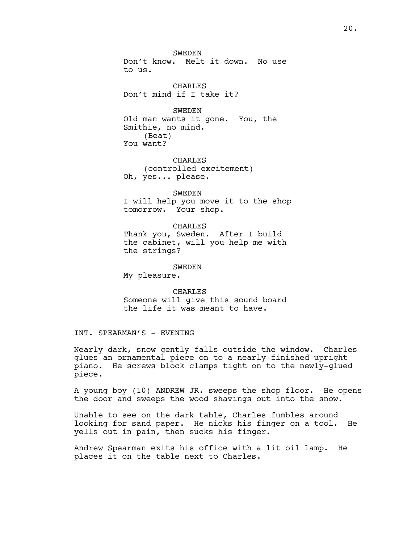SWEDEN Don't know. Melt it down. No use to us. CHARLES Don't mind if I take it? SWEDEN

Old man wants it gone. You, the Smithie, no mind. (Beat) You want?

CHARLES (controlled excitement) Oh, yes... please.

SWEDEN I will help you move it to the shop tomorrow. Your shop.

CHARLES Thank you, Sweden. After I build the cabinet, will you help me with the strings?

SWEDEN My pleasure.

CHARLES Someone will give this sound board the life it was meant to have.

INT. SPEARMAN'S - EVENING

Nearly dark, snow gently falls outside the window. Charles glues an ornamental piece on to a nearly-finished upright piano. He screws block clamps tight on to the newly-glued piece.

A young boy (10) ANDREW JR. sweeps the shop floor. He opens the door and sweeps the wood shavings out into the snow.

Unable to see on the dark table, Charles fumbles around looking for sand paper. He nicks his finger on a tool. He yells out in pain, then sucks his finger.

Andrew Spearman exits his office with a lit oil lamp. He places it on the table next to Charles.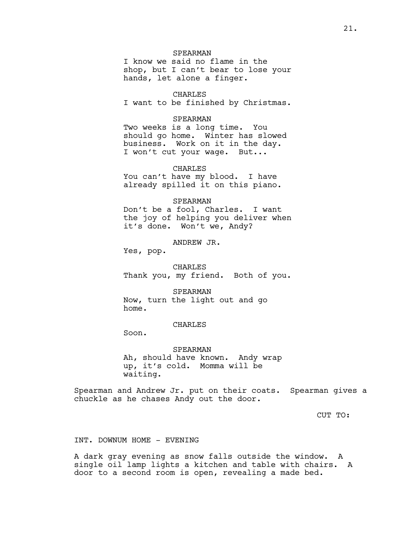### SPEARMAN

I know we said no flame in the shop, but I can't bear to lose your hands, let alone a finger.

### CHARLES

I want to be finished by Christmas.

### SPEARMAN

Two weeks is a long time. You should go home. Winter has slowed business. Work on it in the day. I won't cut your wage. But...

### CHARLES

You can't have my blood. I have already spilled it on this piano.

#### SPEARMAN

Don't be a fool, Charles. I want the joy of helping you deliver when it's done. Won't we, Andy?

ANDREW JR.

Yes, pop.

CHARLES Thank you, my friend. Both of you.

SPEARMAN Now, turn the light out and go home.

## CHARLES

Soon.

SPEARMAN Ah, should have known. Andy wrap up, it's cold. Momma will be waiting.

Spearman and Andrew Jr. put on their coats. Spearman gives a chuckle as he chases Andy out the door.

CUT TO:

### INT. DOWNUM HOME - EVENING

A dark gray evening as snow falls outside the window. A single oil lamp lights a kitchen and table with chairs. A door to a second room is open, revealing a made bed.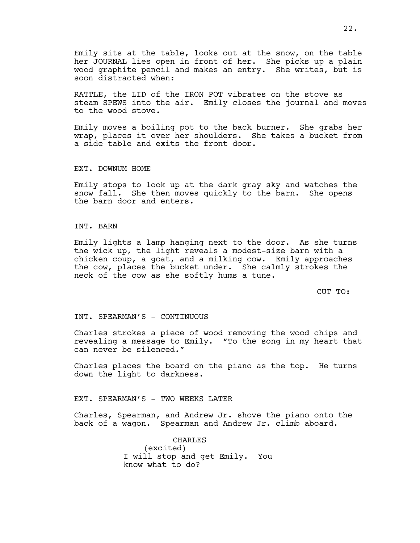Emily sits at the table, looks out at the snow, on the table her JOURNAL lies open in front of her. She picks up a plain wood graphite pencil and makes an entry. She writes, but is soon distracted when:

RATTLE, the LID of the IRON POT vibrates on the stove as steam SPEWS into the air. Emily closes the journal and moves to the wood stove.

Emily moves a boiling pot to the back burner. She grabs her wrap, places it over her shoulders. She takes a bucket from a side table and exits the front door.

#### EXT. DOWNUM HOME

Emily stops to look up at the dark gray sky and watches the snow fall. She then moves quickly to the barn. She opens the barn door and enters.

#### INT. BARN

Emily lights a lamp hanging next to the door. As she turns the wick up, the light reveals a modest-size barn with a chicken coup, a goat, and a milking cow. Emily approaches the cow, places the bucket under. She calmly strokes the neck of the cow as she softly hums a tune.

CUT TO:

### INT. SPEARMAN'S - CONTINUOUS

Charles strokes a piece of wood removing the wood chips and revealing a message to Emily. "To the song in my heart that can never be silenced."

Charles places the board on the piano as the top. He turns down the light to darkness.

EXT. SPEARMAN'S - TWO WEEKS LATER

Charles, Spearman, and Andrew Jr. shove the piano onto the back of a wagon. Spearman and Andrew Jr. climb aboard.

> CHARLES (excited) I will stop and get Emily. You know what to do?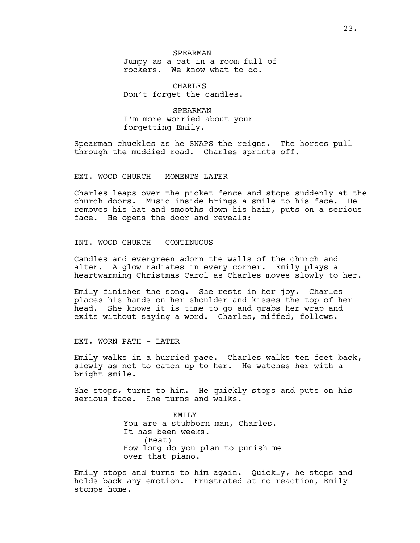### SPEARMAN

Jumpy as a cat in a room full of rockers. We know what to do.

CHARLES Don't forget the candles.

SPEARMAN I'm more worried about your forgetting Emily.

Spearman chuckles as he SNAPS the reigns. The horses pull through the muddied road. Charles sprints off.

EXT. WOOD CHURCH - MOMENTS LATER

Charles leaps over the picket fence and stops suddenly at the church doors. Music inside brings a smile to his face. He removes his hat and smooths down his hair, puts on a serious face. He opens the door and reveals:

INT. WOOD CHURCH - CONTINUOUS

Candles and evergreen adorn the walls of the church and alter. A glow radiates in every corner. Emily plays a heartwarming Christmas Carol as Charles moves slowly to her.

Emily finishes the song. She rests in her joy. Charles places his hands on her shoulder and kisses the top of her head. She knows it is time to go and grabs her wrap and exits without saying a word. Charles, miffed, follows.

EXT. WORN PATH - LATER

Emily walks in a hurried pace. Charles walks ten feet back, slowly as not to catch up to her. He watches her with a bright smile.

She stops, turns to him. He quickly stops and puts on his serious face. She turns and walks.

> EMTT<sub>.</sub>Y You are a stubborn man, Charles. It has been weeks. (Beat) How long do you plan to punish me over that piano.

Emily stops and turns to him again. Quickly, he stops and holds back any emotion. Frustrated at no reaction, Emily stomps home.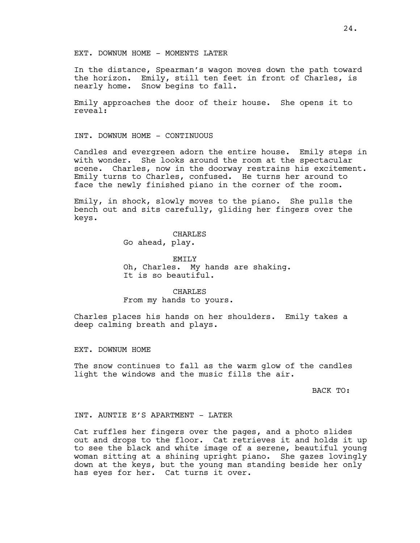EXT. DOWNUM HOME - MOMENTS LATER

In the distance, Spearman's wagon moves down the path toward the horizon. Emily, still ten feet in front of Charles, is nearly home. Snow begins to fall.

Emily approaches the door of their house. She opens it to reveal:

INT. DOWNUM HOME - CONTINUOUS

Candles and evergreen adorn the entire house. Emily steps in with wonder. She looks around the room at the spectacular scene. Charles, now in the doorway restrains his excitement. Emily turns to Charles, confused. He turns her around to face the newly finished piano in the corner of the room.

Emily, in shock, slowly moves to the piano. She pulls the bench out and sits carefully, gliding her fingers over the keys.

CHARLES

Go ahead, play.

EMILY Oh, Charles. My hands are shaking. It is so beautiful.

CHARLES From my hands to yours.

Charles places his hands on her shoulders. Emily takes a deep calming breath and plays.

EXT. DOWNUM HOME

The snow continues to fall as the warm glow of the candles light the windows and the music fills the air.

BACK TO:

INT. AUNTIE E'S APARTMENT - LATER

Cat ruffles her fingers over the pages, and a photo slides out and drops to the floor. Cat retrieves it and holds it up to see the black and white image of a serene, beautiful young woman sitting at a shining upright piano. She gazes lovingly down at the keys, but the young man standing beside her only has eyes for her. Cat turns it over.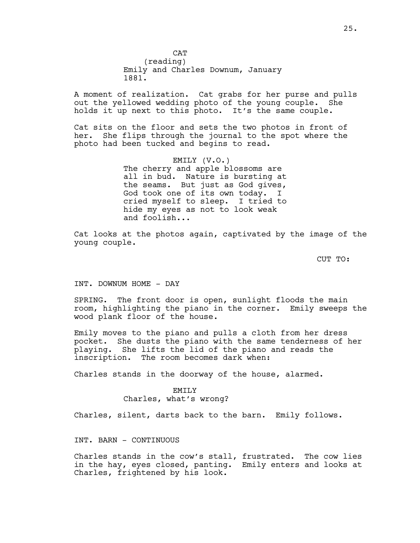**CAT** (reading) Emily and Charles Downum, January 1881.

A moment of realization. Cat grabs for her purse and pulls out the yellowed wedding photo of the young couple. She holds it up next to this photo. It's the same couple.

Cat sits on the floor and sets the two photos in front of her. She flips through the journal to the spot where the photo had been tucked and begins to read.

> EMILY (V.O.) The cherry and apple blossoms are all in bud. Nature is bursting at the seams. But just as God gives, God took one of its own today. I cried myself to sleep. I tried to hide my eyes as not to look weak and foolish...

Cat looks at the photos again, captivated by the image of the young couple.

CUT TO:

INT. DOWNUM HOME - DAY

SPRING. The front door is open, sunlight floods the main room, highlighting the piano in the corner. Emily sweeps the wood plank floor of the house.

Emily moves to the piano and pulls a cloth from her dress pocket. She dusts the piano with the same tenderness of her playing. She lifts the lid of the piano and reads the inscription. The room becomes dark when:

Charles stands in the doorway of the house, alarmed.

#### EMILY

## Charles, what's wrong?

Charles, silent, darts back to the barn. Emily follows.

INT. BARN - CONTINUOUS

Charles stands in the cow's stall, frustrated. The cow lies in the hay, eyes closed, panting. Emily enters and looks at Charles, frightened by his look.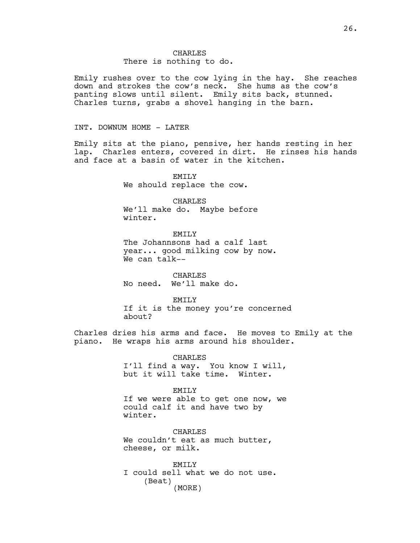## CHARLES There is nothing to do.

Emily rushes over to the cow lying in the hay. She reaches down and strokes the cow's neck. She hums as the cow's panting slows until silent. Emily sits back, stunned. Charles turns, grabs a shovel hanging in the barn.

### INT. DOWNUM HOME - LATER

Emily sits at the piano, pensive, her hands resting in her lap. Charles enters, covered in dirt. He rinses his hands and face at a basin of water in the kitchen.

> EMTT<sub>.</sub>Y We should replace the cow.

> > CHARLES

We'll make do. Maybe before winter.

EMTT.Y The Johannsons had a calf last year... good milking cow by now. We can talk--

CHARLES No need. We'll make do.

EMILY If it is the money you're concerned about?

Charles dries his arms and face. He moves to Emily at the piano. He wraps his arms around his shoulder.

> CHARLES I'll find a way. You know I will, but it will take time. Winter.

> EMILY If we were able to get one now, we could calf it and have two by winter.

CHARLES We couldn't eat as much butter, cheese, or milk.

EMILY I could sell what we do not use. (Beat) (MORE)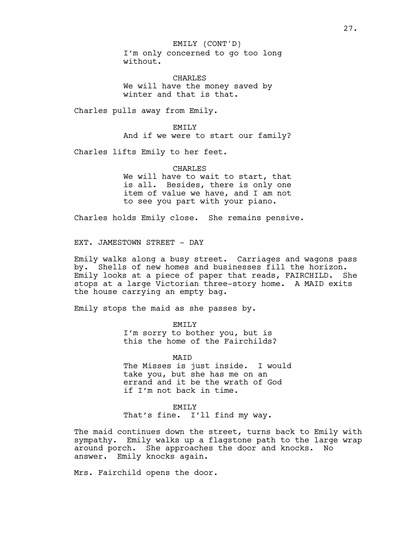I'm only concerned to go too long without. EMILY (CONT'D)

CHARLES We will have the money saved by winter and that is that.

Charles pulls away from Emily.

EMILY And if we were to start our family?

Charles lifts Emily to her feet.

#### CHARLES

We will have to wait to start, that is all. Besides, there is only one item of value we have, and I am not to see you part with your piano.

Charles holds Emily close. She remains pensive.

EXT. JAMESTOWN STREET - DAY

Emily walks along a busy street. Carriages and wagons pass by. Shells of new homes and businesses fill the horizon. Emily looks at a piece of paper that reads, FAIRCHILD. She stops at a large Victorian three-story home. A MAID exits the house carrying an empty bag.

Emily stops the maid as she passes by.

EMILY I'm sorry to bother you, but is this the home of the Fairchilds?

**MATD** The Misses is just inside. I would take you, but she has me on an errand and it be the wrath of God if I'm not back in time.

#### EMILY

That's fine. I'll find my way.

The maid continues down the street, turns back to Emily with sympathy. Emily walks up a flagstone path to the large wrap around porch. She approaches the door and knocks. No answer. Emily knocks again.

Mrs. Fairchild opens the door.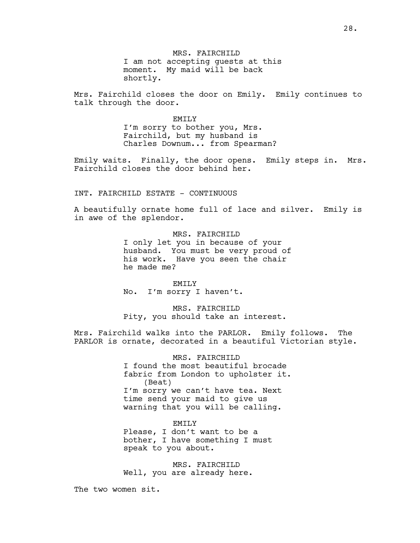MRS. FAIRCHILD I am not accepting guests at this moment. My maid will be back shortly.

Mrs. Fairchild closes the door on Emily. Emily continues to talk through the door.

> EMILY I'm sorry to bother you, Mrs. Fairchild, but my husband is Charles Downum... from Spearman?

Emily waits. Finally, the door opens. Emily steps in. Mrs. Fairchild closes the door behind her.

INT. FAIRCHILD ESTATE - CONTINUOUS

A beautifully ornate home full of lace and silver. Emily is in awe of the splendor.

> MRS. FAIRCHILD I only let you in because of your husband. You must be very proud of his work. Have you seen the chair he made me?

EMILY No. I'm sorry I haven't.

MRS. FAIRCHILD Pity, you should take an interest.

Mrs. Fairchild walks into the PARLOR. Emily follows. The PARLOR is ornate, decorated in a beautiful Victorian style.

> MRS. FAIRCHILD I found the most beautiful brocade fabric from London to upholster it. (Beat) I'm sorry we can't have tea. Next time send your maid to give us warning that you will be calling.

EMILY Please, I don't want to be a bother, I have something I must speak to you about.

MRS. FAIRCHILD Well, you are already here.

The two women sit.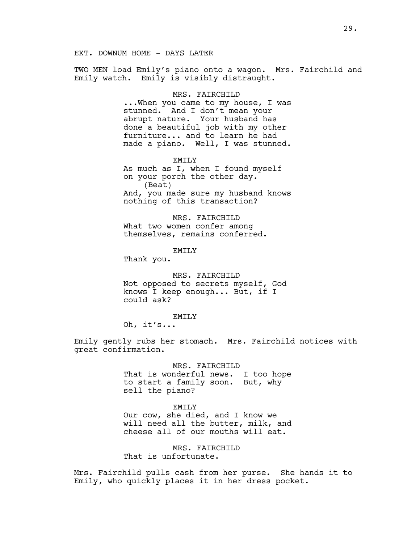## EXT. DOWNUM HOME - DAYS LATER

TWO MEN load Emily's piano onto a wagon. Mrs. Fairchild and Emily watch. Emily is visibly distraught.

#### MRS. FAIRCHILD

...When you came to my house, I was stunned. And I don't mean your abrupt nature. Your husband has done a beautiful job with my other furniture... and to learn he had made a piano. Well, I was stunned.

EMILY As much as I, when I found myself on your porch the other day. (Beat) And, you made sure my husband knows nothing of this transaction?

MRS. FAIRCHILD What two women confer among themselves, remains conferred.

EMILY

Thank you.

MRS. FAIRCHILD Not opposed to secrets myself, God knows I keep enough... But, if I could ask?

EMILY

Oh, it's...

Emily gently rubs her stomach. Mrs. Fairchild notices with great confirmation.

> MRS. FAIRCHILD That is wonderful news. I too hope to start a family soon. But, why sell the piano?

> EMILY Our cow, she died, and I know we will need all the butter, milk, and cheese all of our mouths will eat.

MRS. FAIRCHILD That is unfortunate.

Mrs. Fairchild pulls cash from her purse. She hands it to Emily, who quickly places it in her dress pocket.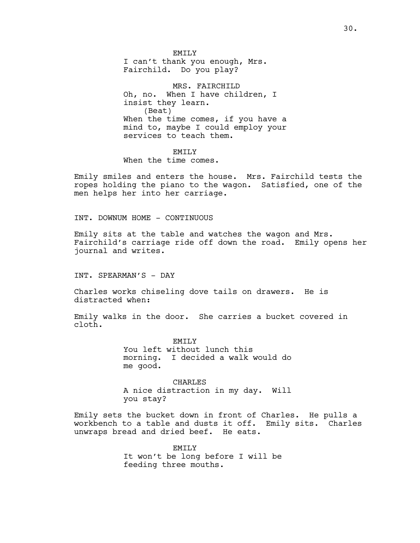EMTT.Y I can't thank you enough, Mrs. Fairchild. Do you play? MRS. FAIRCHILD Oh, no. When I have children, I insist they learn. (Beat) When the time comes, if you have a mind to, maybe I could employ your services to teach them.

EMILY When the time comes.

Emily smiles and enters the house. Mrs. Fairchild tests the ropes holding the piano to the wagon. Satisfied, one of the men helps her into her carriage.

INT. DOWNUM HOME - CONTINUOUS

Emily sits at the table and watches the wagon and Mrs. Fairchild's carriage ride off down the road. Emily opens her journal and writes.

INT. SPEARMAN'S - DAY

Charles works chiseling dove tails on drawers. He is distracted when:

Emily walks in the door. She carries a bucket covered in cloth.

> EMTT.Y You left without lunch this morning. I decided a walk would do me good.

> CHARLES A nice distraction in my day. Will you stay?

Emily sets the bucket down in front of Charles. He pulls a workbench to a table and dusts it off. Emily sits. Charles unwraps bread and dried beef. He eats.

> EMILY It won't be long before I will be feeding three mouths.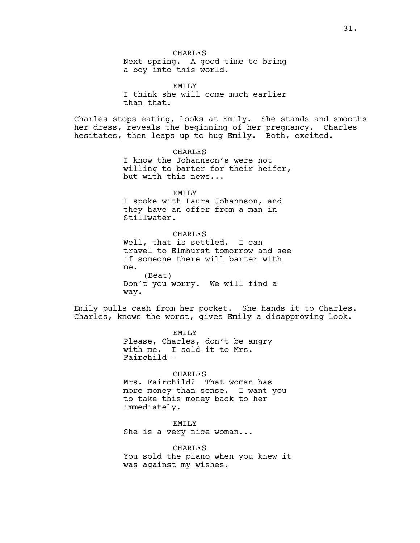CHARLES Next spring. A good time to bring a boy into this world.

EMTT.Y I think she will come much earlier than that.

Charles stops eating, looks at Emily. She stands and smooths<br>her dress, reveals the beginning of her pregnancy. Charles her dress, reveals the beginning of her pregnancy. hesitates, then leaps up to hug Emily. Both, excited.

> CHARLES I know the Johannson's were not willing to barter for their heifer, but with this news...

EMILY I spoke with Laura Johannson, and they have an offer from a man in Stillwater.

CHARLES Well, that is settled. I can travel to Elmhurst tomorrow and see if someone there will barter with me. (Beat) Don't you worry. We will find a way.

Emily pulls cash from her pocket. She hands it to Charles. Charles, knows the worst, gives Emily a disapproving look.

> EMILY Please, Charles, don't be angry with me. I sold it to Mrs. Fairchild--

> > CHARLES

Mrs. Fairchild? That woman has more money than sense. I want you to take this money back to her immediately.

EMILY She is a very nice woman...

CHARLES You sold the piano when you knew it was against my wishes.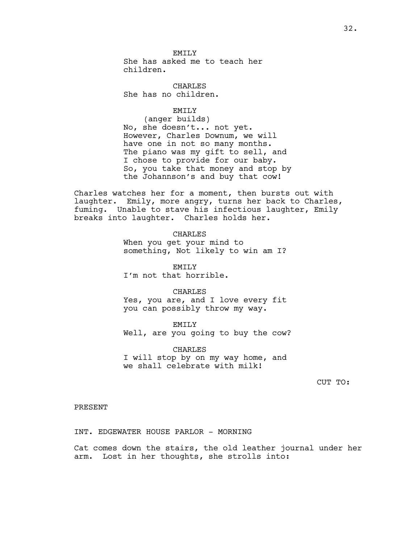EMTT.Y She has asked me to teach her children.

CHARLES She has no children.

EMILY

(anger builds) No, she doesn't... not yet. However, Charles Downum, we will have one in not so many months. The piano was my gift to sell, and I chose to provide for our baby. So, you take that money and stop by the Johannson's and buy that cow!

Charles watches her for a moment, then bursts out with laughter. Emily, more angry, turns her back to Charles, fuming. Unable to stave his infectious laughter, Emily breaks into laughter. Charles holds her.

CHARLES

When you get your mind to something, Not likely to win am I?

EMILY I'm not that horrible.

CHARLES Yes, you are, and I love every fit you can possibly throw my way.

EMILY Well, are you going to buy the cow?

CHARLES I will stop by on my way home, and we shall celebrate with milk!

CUT TO:

PRESENT

INT. EDGEWATER HOUSE PARLOR - MORNING

Cat comes down the stairs, the old leather journal under her arm. Lost in her thoughts, she strolls into: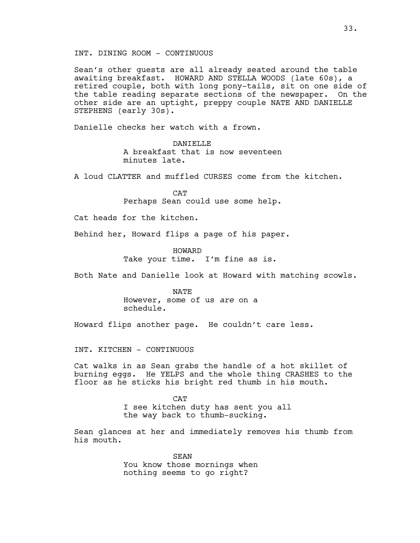Sean's other guests are all already seated around the table awaiting breakfast. HOWARD AND STELLA WOODS (late 60s), a retired couple, both with long pony-tails, sit on one side of the table reading separate sections of the newspaper. On the other side are an uptight, preppy couple NATE AND DANIELLE STEPHENS (early 30s).

Danielle checks her watch with a frown.

DANTELLE A breakfast that is now seventeen minutes late.

A loud CLATTER and muffled CURSES come from the kitchen.

**CAT** Perhaps Sean could use some help.

Cat heads for the kitchen.

Behind her, Howard flips a page of his paper.

HOWARD Take your time. I'm fine as is.

Both Nate and Danielle look at Howard with matching scowls.

NATE However, some of us are on a schedule.

Howard flips another page. He couldn't care less.

INT. KITCHEN - CONTINUOUS

Cat walks in as Sean grabs the handle of a hot skillet of burning eggs. He YELPS and the whole thing CRASHES to the floor as he sticks his bright red thumb in his mouth.

> **CAT** I see kitchen duty has sent you all the way back to thumb-sucking.

Sean glances at her and immediately removes his thumb from his mouth.

> SEAN You know those mornings when nothing seems to go right?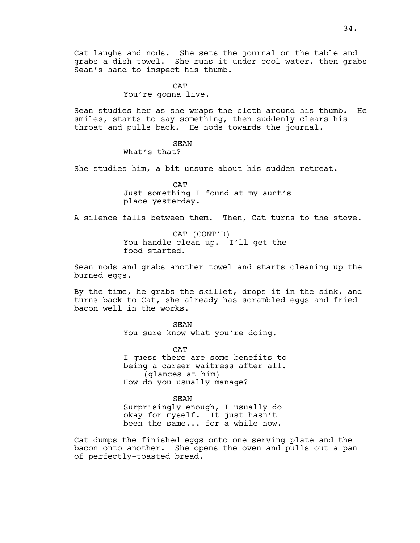Cat laughs and nods. She sets the journal on the table and grabs a dish towel. She runs it under cool water, then grabs Sean's hand to inspect his thumb.

> **CAT** You're gonna live.

Sean studies her as she wraps the cloth around his thumb. He smiles, starts to say something, then suddenly clears his throat and pulls back. He nods towards the journal.

## **SEAN**

What's that?

She studies him, a bit unsure about his sudden retreat.

**CAT** Just something I found at my aunt's place yesterday.

A silence falls between them. Then, Cat turns to the stove.

CAT (CONT'D) You handle clean up. I'll get the food started.

Sean nods and grabs another towel and starts cleaning up the burned eggs.

By the time, he grabs the skillet, drops it in the sink, and turns back to Cat, she already has scrambled eggs and fried bacon well in the works.

SEAN

You sure know what you're doing.

**CAT** I guess there are some benefits to being a career waitress after all. (glances at him) How do you usually manage?

SEAN Surprisingly enough, I usually do okay for myself. It just hasn't been the same... for a while now.

Cat dumps the finished eggs onto one serving plate and the bacon onto another. She opens the oven and pulls out a pan of perfectly-toasted bread.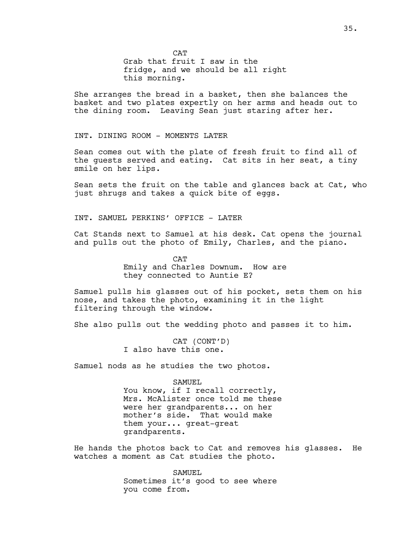**CAT** Grab that fruit I saw in the fridge, and we should be all right this morning.

She arranges the bread in a basket, then she balances the basket and two plates expertly on her arms and heads out to the dining room. Leaving Sean just staring after her.

INT. DINING ROOM - MOMENTS LATER

Sean comes out with the plate of fresh fruit to find all of the guests served and eating. Cat sits in her seat, a tiny smile on her lips.

Sean sets the fruit on the table and glances back at Cat, who just shrugs and takes a quick bite of eggs.

INT. SAMUEL PERKINS' OFFICE - LATER

Cat Stands next to Samuel at his desk. Cat opens the journal and pulls out the photo of Emily, Charles, and the piano.

> $CAP$ Emily and Charles Downum. How are they connected to Auntie E?

Samuel pulls his glasses out of his pocket, sets them on his nose, and takes the photo, examining it in the light filtering through the window.

She also pulls out the wedding photo and passes it to him.

CAT (CONT'D) I also have this one.

Samuel nods as he studies the two photos.

SAMUEL

You know, if I recall correctly, Mrs. McAlister once told me these were her grandparents... on her mother's side. That would make them your... great-great grandparents.

He hands the photos back to Cat and removes his glasses. He watches a moment as Cat studies the photo.

> SAMUEL. Sometimes it's good to see where you come from.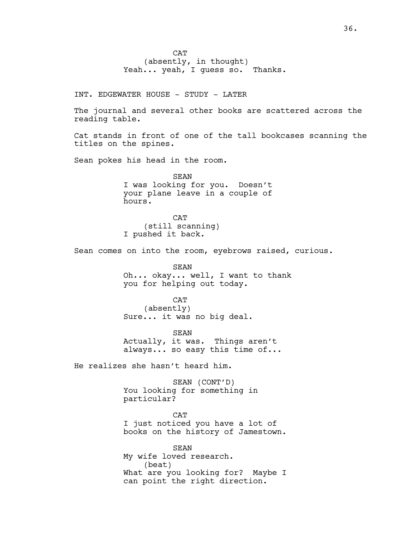**CAT** (absently, in thought) Yeah... yeah, I guess so. Thanks.

INT. EDGEWATER HOUSE - STUDY - LATER

The journal and several other books are scattered across the reading table.

Cat stands in front of one of the tall bookcases scanning the titles on the spines.

Sean pokes his head in the room.

SEAN I was looking for you. Doesn't your plane leave in a couple of hours.

CAT (still scanning) I pushed it back.

Sean comes on into the room, eyebrows raised, curious.

SEAN Oh... okay... well, I want to thank you for helping out today.

CAT (absently) Sure... it was no big deal.

SEAN Actually, it was. Things aren't always... so easy this time of...

He realizes she hasn't heard him.

SEAN (CONT'D) You looking for something in particular?

CAT I just noticed you have a lot of books on the history of Jamestown.

**SEAN** My wife loved research. (beat) What are you looking for? Maybe I can point the right direction.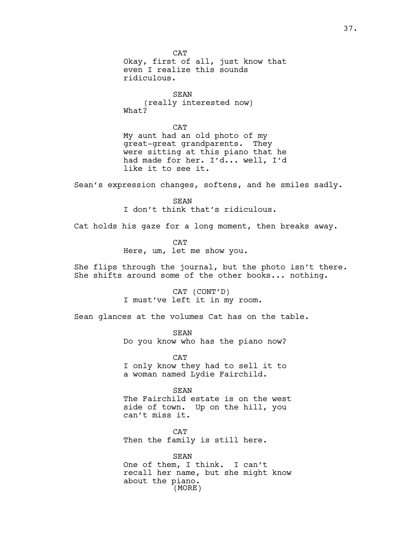Okay, first of all, just know that

SEAN (really interested now) What?

CAT

ridiculous.

even I realize this sounds

**CAT** My aunt had an old photo of my great-great grandparents. They were sitting at this piano that he had made for her. I'd... well, I'd like it to see it.

Sean's expression changes, softens, and he smiles sadly.

SEAN I don't think that's ridiculous.

Cat holds his gaze for a long moment, then breaks away.

**CAT** Here, um, let me show you.

She flips through the journal, but the photo isn't there. She shifts around some of the other books... nothing.

> CAT (CONT'D) I must've left it in my room.

Sean glances at the volumes Cat has on the table.

SEAN Do you know who has the piano now?

**CAT** I only know they had to sell it to a woman named Lydie Fairchild.

SEAN The Fairchild estate is on the west side of town. Up on the hill, you can't miss it.

**CAT** Then the family is still here.

SEAN One of them, I think. I can't recall her name, but she might know about the piano. (MORE)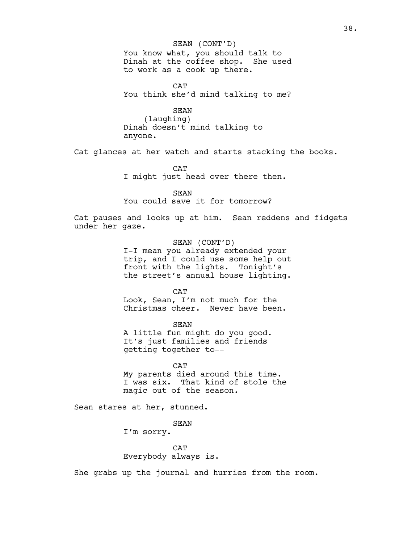You know what, you should talk to Dinah at the coffee shop. She used to work as a cook up there. SEAN (CONT'D)

**CAT** You think she'd mind talking to me?

> SEAN (laughing)

Dinah doesn't mind talking to anyone.

Cat glances at her watch and starts stacking the books.

CAT I might just head over there then.

SEAN You could save it for tomorrow?

Cat pauses and looks up at him. Sean reddens and fidgets under her gaze.

> SEAN (CONT'D) I-I mean you already extended your trip, and I could use some help out front with the lights. Tonight's the street's annual house lighting.

**CAT** Look, Sean, I'm not much for the Christmas cheer. Never have been.

SEAN A little fun might do you good. It's just families and friends getting together to--

**CAT** My parents died around this time. I was six. That kind of stole the magic out of the season.

Sean stares at her, stunned.

SEAN

I'm sorry.

**CAT** Everybody always is.

She grabs up the journal and hurries from the room.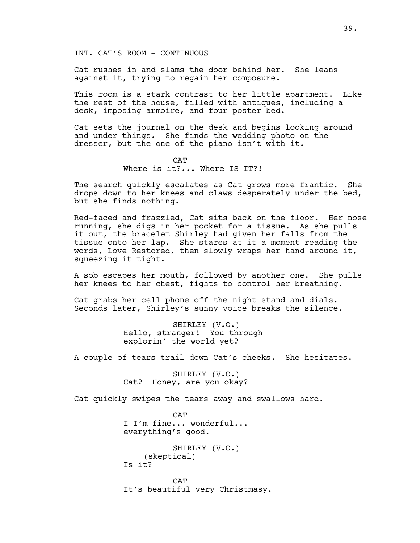INT. CAT'S ROOM - CONTINUOUS

Cat rushes in and slams the door behind her. She leans against it, trying to regain her composure.

This room is a stark contrast to her little apartment. Like the rest of the house, filled with antiques, including a desk, imposing armoire, and four-poster bed.

Cat sets the journal on the desk and begins looking around and under things. She finds the wedding photo on the dresser, but the one of the piano isn't with it.

> **CAT** Where is it?... Where IS IT?!

The search quickly escalates as Cat grows more frantic. She drops down to her knees and claws desperately under the bed, but she finds nothing.

Red-faced and frazzled, Cat sits back on the floor. Her nose running, she digs in her pocket for a tissue. As she pulls it out, the bracelet Shirley had given her falls from the tissue onto her lap. She stares at it a moment reading the words, Love Restored, then slowly wraps her hand around it, squeezing it tight.

A sob escapes her mouth, followed by another one. She pulls her knees to her chest, fights to control her breathing.

Cat grabs her cell phone off the night stand and dials. Seconds later, Shirley's sunny voice breaks the silence.

> SHIRLEY (V.O.) Hello, stranger! You through explorin' the world yet?

A couple of tears trail down Cat's cheeks. She hesitates.

SHIRLEY (V.O.) Cat? Honey, are you okay?

Cat quickly swipes the tears away and swallows hard.

 $CAP$ I-I'm fine... wonderful... everything's good.

SHIRLEY (V.O.) (skeptical) Is it?

**CAT** It's beautiful very Christmasy.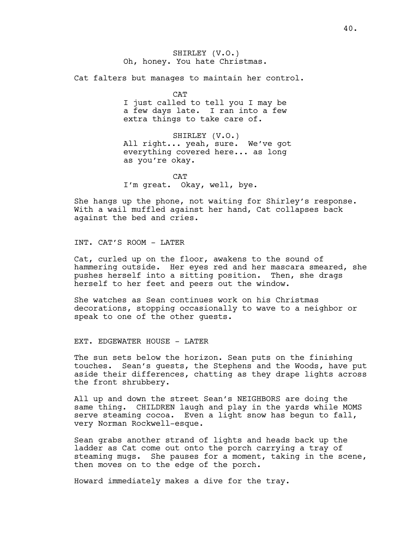SHIRLEY (V.O.) Oh, honey. You hate Christmas.

Cat falters but manages to maintain her control.

**CAT** I just called to tell you I may be a few days late. I ran into a few extra things to take care of.

SHIRLEY (V.O.) All right... yeah, sure. We've got everything covered here... as long as you're okay.

CAT I'm great. Okay, well, bye.

She hangs up the phone, not waiting for Shirley's response. With a wail muffled against her hand, Cat collapses back against the bed and cries.

INT. CAT'S ROOM - LATER

Cat, curled up on the floor, awakens to the sound of hammering outside. Her eyes red and her mascara smeared, she pushes herself into a sitting position. Then, she drags herself to her feet and peers out the window.

She watches as Sean continues work on his Christmas decorations, stopping occasionally to wave to a neighbor or speak to one of the other guests.

EXT. EDGEWATER HOUSE - LATER

The sun sets below the horizon. Sean puts on the finishing touches. Sean's guests, the Stephens and the Woods, have put aside their differences, chatting as they drape lights across the front shrubbery.

All up and down the street Sean's NEIGHBORS are doing the same thing. CHILDREN laugh and play in the yards while MOMS serve steaming cocoa. Even a light snow has begun to fall, very Norman Rockwell-esque.

Sean grabs another strand of lights and heads back up the ladder as Cat come out onto the porch carrying a tray of steaming mugs. She pauses for a moment, taking in the scene, then moves on to the edge of the porch.

Howard immediately makes a dive for the tray.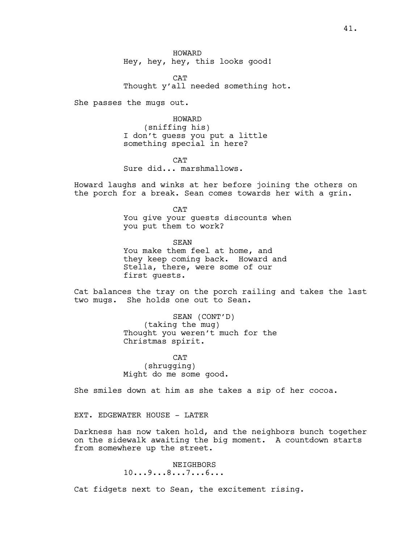HOWARD Hey, hey, hey, this looks good!

**CAT** Thought y'all needed something hot.

She passes the mugs out.

HOWARD (sniffing his) I don't guess you put a little something special in here?

**CAT** Sure did... marshmallows.

Howard laughs and winks at her before joining the others on the porch for a break. Sean comes towards her with a grin.

> **CAT** You give your guests discounts when you put them to work?

SEAN You make them feel at home, and they keep coming back. Howard and Stella, there, were some of our first guests.

Cat balances the tray on the porch railing and takes the last two mugs. She holds one out to Sean.

> SEAN (CONT'D) (taking the mug) Thought you weren't much for the Christmas spirit.

**CAT** (shrugging) Might do me some good.

She smiles down at him as she takes a sip of her cocoa.

EXT. EDGEWATER HOUSE - LATER

Darkness has now taken hold, and the neighbors bunch together on the sidewalk awaiting the big moment. A countdown starts from somewhere up the street.

> NEIGHBORS 10...9...8...7...6...

Cat fidgets next to Sean, the excitement rising.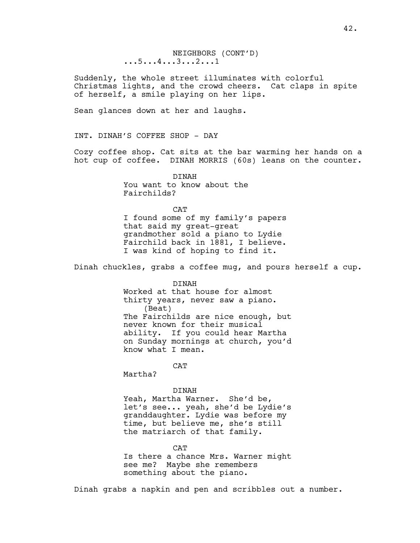NEIGHBORS (CONT'D) ...5...4...3...2...1

Suddenly, the whole street illuminates with colorful Christmas lights, and the crowd cheers. Cat claps in spite of herself, a smile playing on her lips.

Sean glances down at her and laughs.

INT. DINAH'S COFFEE SHOP - DAY

Cozy coffee shop. Cat sits at the bar warming her hands on a hot cup of coffee. DINAH MORRIS (60s) leans on the counter.

> DINAH You want to know about the Fairchilds?

**CAT** I found some of my family's papers that said my great-great grandmother sold a piano to Lydie Fairchild back in 1881, I believe. I was kind of hoping to find it.

Dinah chuckles, grabs a coffee mug, and pours herself a cup.

DINAH Worked at that house for almost thirty years, never saw a piano. (Beat) The Fairchilds are nice enough, but never known for their musical ability. If you could hear Martha on Sunday mornings at church, you'd know what I mean.

**CAT** 

Martha?

#### DINAH

Yeah, Martha Warner. She'd be, let's see... yeah, she'd be Lydie's granddaughter. Lydie was before my time, but believe me, she's still the matriarch of that family.

**CAT** Is there a chance Mrs. Warner might see me? Maybe she remembers something about the piano.

Dinah grabs a napkin and pen and scribbles out a number.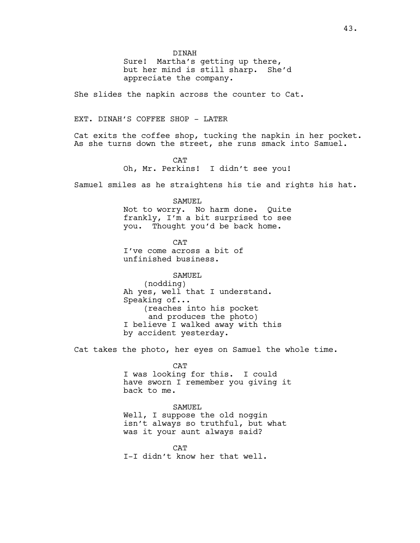DINAH

Sure! Martha's getting up there,<br>but her mind is still sharp. She'd but her mind is still sharp. appreciate the company.

She slides the napkin across the counter to Cat.

EXT. DINAH'S COFFEE SHOP - LATER

Cat exits the coffee shop, tucking the napkin in her pocket. As she turns down the street, she runs smack into Samuel.

> **CAT** Oh, Mr. Perkins! I didn't see you!

Samuel smiles as he straightens his tie and rights his hat.

SAMUEL

Not to worry. No harm done. Quite frankly, I'm a bit surprised to see you. Thought you'd be back home.

**CAT** I've come across a bit of unfinished business.

SAMUEL (nodding) Ah yes, well that I understand. Speaking of... (reaches into his pocket and produces the photo) I believe I walked away with this by accident yesterday.

Cat takes the photo, her eyes on Samuel the whole time.

CAT I was looking for this. I could have sworn I remember you giving it back to me.

SAMUEL Well, I suppose the old noggin isn't always so truthful, but what was it your aunt always said?

 $C<sub>D</sub>$ T I-I didn't know her that well.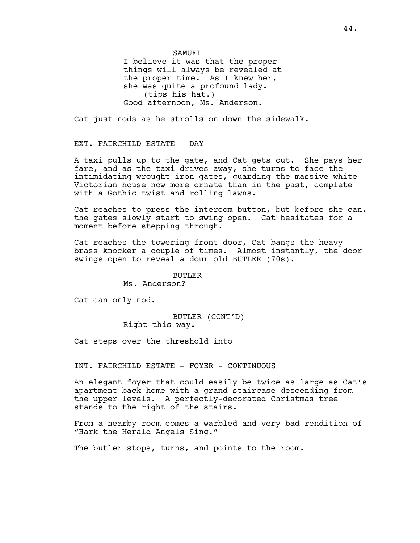SAMUEL. I believe it was that the proper things will always be revealed at the proper time. As I knew her, she was quite a profound lady. (tips his hat.) Good afternoon, Ms. Anderson.

Cat just nods as he strolls on down the sidewalk.

## EXT. FAIRCHILD ESTATE - DAY

A taxi pulls up to the gate, and Cat gets out. She pays her fare, and as the taxi drives away, she turns to face the intimidating wrought iron gates, guarding the massive white Victorian house now more ornate than in the past, complete with a Gothic twist and rolling lawns.

Cat reaches to press the intercom button, but before she can, the gates slowly start to swing open. Cat hesitates for a moment before stepping through.

Cat reaches the towering front door, Cat bangs the heavy brass knocker a couple of times. Almost instantly, the door swings open to reveal a dour old BUTLER (70s).

# BUTLER

Ms. Anderson?

Cat can only nod.

BUTLER (CONT'D) Right this way.

Cat steps over the threshold into

## INT. FAIRCHILD ESTATE - FOYER - CONTINUOUS

An elegant foyer that could easily be twice as large as Cat's apartment back home with a grand staircase descending from the upper levels. A perfectly-decorated Christmas tree stands to the right of the stairs.

From a nearby room comes a warbled and very bad rendition of "Hark the Herald Angels Sing."

The butler stops, turns, and points to the room.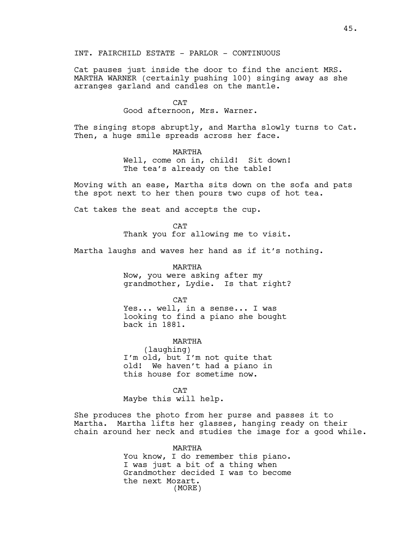Cat pauses just inside the door to find the ancient MRS. MARTHA WARNER (certainly pushing 100) singing away as she arranges garland and candles on the mantle.

## CAT

Good afternoon, Mrs. Warner.

The singing stops abruptly, and Martha slowly turns to Cat. Then, a huge smile spreads across her face.

> MARTHA Well, come on in, child! Sit down! The tea's already on the table!

Moving with an ease, Martha sits down on the sofa and pats the spot next to her then pours two cups of hot tea.

Cat takes the seat and accepts the cup.

**CAT** Thank you for allowing me to visit.

Martha laughs and waves her hand as if it's nothing.

MARTHA Now, you were asking after my grandmother, Lydie. Is that right?

 $CAP$ Yes... well, in a sense... I was looking to find a piano she bought back in 1881.

MARTHA (laughing) I'm old, but I'm not quite that old! We haven't had a piano in this house for sometime now.

**CAT** Maybe this will help.

She produces the photo from her purse and passes it to Martha. Martha lifts her glasses, hanging ready on their chain around her neck and studies the image for a good while.

> MARTHA You know, I do remember this piano. I was just a bit of a thing when Grandmother decided I was to become the next Mozart. (MORE)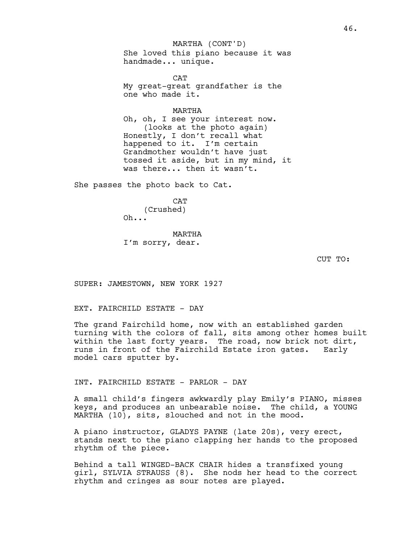She loved this piano because it was handmade... unique. MARTHA (CONT'D)

**CAT** My great-great grandfather is the one who made it.

MARTHA

Oh, oh, I see your interest now. (looks at the photo again) Honestly, I don't recall what happened to it. I'm certain Grandmother wouldn't have just tossed it aside, but in my mind, it was there... then it wasn't.

She passes the photo back to Cat.

**CAT** (Crushed) Oh...

MARTHA I'm sorry, dear.

CUT TO:

SUPER: JAMESTOWN, NEW YORK 1927

EXT. FAIRCHILD ESTATE - DAY

The grand Fairchild home, now with an established garden turning with the colors of fall, sits among other homes built within the last forty years. The road, now brick not dirt, runs in front of the Fairchild Estate iron gates. Early model cars sputter by.

INT. FAIRCHILD ESTATE - PARLOR - DAY

A small child's fingers awkwardly play Emily's PIANO, misses keys, and produces an unbearable noise. The child, a YOUNG MARTHA (10), sits, slouched and not in the mood.

A piano instructor, GLADYS PAYNE (late 20s), very erect, stands next to the piano clapping her hands to the proposed rhythm of the piece.

Behind a tall WINGED-BACK CHAIR hides a transfixed young girl, SYLVIA STRAUSS (8). She nods her head to the correct rhythm and cringes as sour notes are played.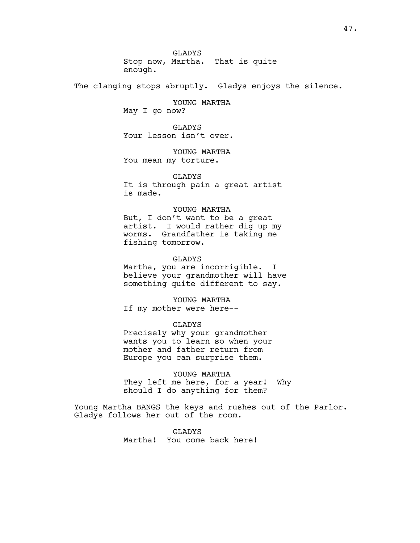GLADYS Stop now, Martha. That is quite enough.

The clanging stops abruptly. Gladys enjoys the silence.

YOUNG MARTHA May I go now?

GLADYS Your lesson isn't over.

YOUNG MARTHA You mean my torture.

GLADYS It is through pain a great artist is made.

# YOUNG MARTHA

But, I don't want to be a great artist. I would rather dig up my worms. Grandfather is taking me fishing tomorrow.

## GLADYS

Martha, you are incorrigible. I believe your grandmother will have something quite different to say.

YOUNG MARTHA If my mother were here--

## GLADYS

Precisely why your grandmother wants you to learn so when your mother and father return from Europe you can surprise them.

YOUNG MARTHA They left me here, for a year! Why should I do anything for them?

Young Martha BANGS the keys and rushes out of the Parlor. Gladys follows her out of the room.

> GLADYS Martha! You come back here!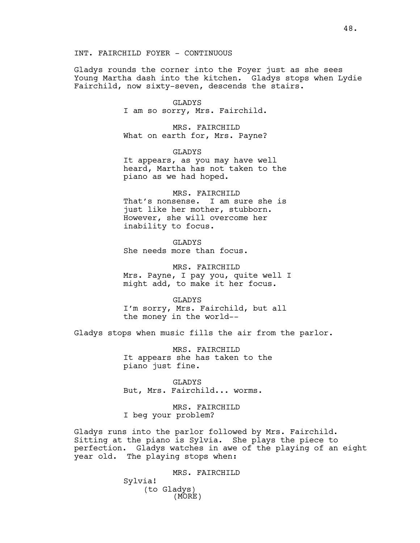INT. FAIRCHILD FOYER - CONTINUOUS

Gladys rounds the corner into the Foyer just as she sees Young Martha dash into the kitchen. Gladys stops when Lydie Fairchild, now sixty-seven, descends the stairs.

> GLADYS I am so sorry, Mrs. Fairchild.

> MRS. FAIRCHILD What on earth for, Mrs. Payne?

GLADYS It appears, as you may have well heard, Martha has not taken to the piano as we had hoped.

MRS. FAIRCHILD That's nonsense. I am sure she is just like her mother, stubborn. However, she will overcome her inability to focus.

GLADYS She needs more than focus.

MRS. FAIRCHILD Mrs. Payne, I pay you, quite well I might add, to make it her focus.

GLADYS I'm sorry, Mrs. Fairchild, but all the money in the world--

Gladys stops when music fills the air from the parlor.

MRS. FAIRCHILD It appears she has taken to the piano just fine.

GLADYS But, Mrs. Fairchild... worms.

MRS. FAIRCHILD I beg your problem?

Gladys runs into the parlor followed by Mrs. Fairchild. Sitting at the piano is Sylvia. She plays the piece to perfection. Gladys watches in awe of the playing of an eight year old. The playing stops when:

> MRS. FAIRCHILD Sylvia! (to Gladys) (MORE)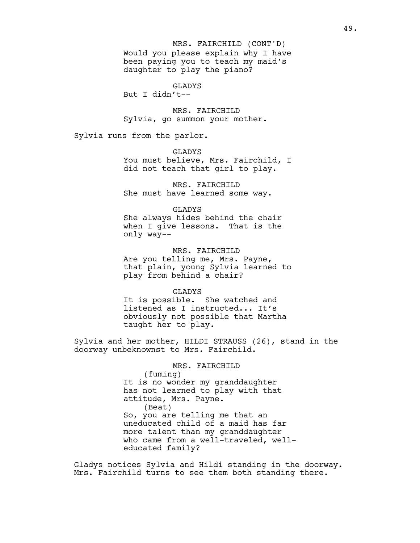Would you please explain why I have been paying you to teach my maid's daughter to play the piano? MRS. FAIRCHILD (CONT'D)

GLADYS

But I didn't--

MRS. FAIRCHILD Sylvia, go summon your mother.

Sylvia runs from the parlor.

GLADYS You must believe, Mrs. Fairchild, I did not teach that girl to play.

MRS. FAIRCHILD She must have learned some way.

GLADYS She always hides behind the chair when I give lessons. That is the only way--

MRS. FAIRCHILD Are you telling me, Mrs. Payne, that plain, young Sylvia learned to play from behind a chair?

GLADYS It is possible. She watched and listened as I instructed... It's obviously not possible that Martha taught her to play.

Sylvia and her mother, HILDI STRAUSS (26), stand in the doorway unbeknownst to Mrs. Fairchild.

> MRS. FAIRCHILD (fuming) It is no wonder my granddaughter has not learned to play with that attitude, Mrs. Payne. (Beat) So, you are telling me that an uneducated child of a maid has far more talent than my granddaughter who came from a well-traveled, welleducated family?

Gladys notices Sylvia and Hildi standing in the doorway. Mrs. Fairchild turns to see them both standing there.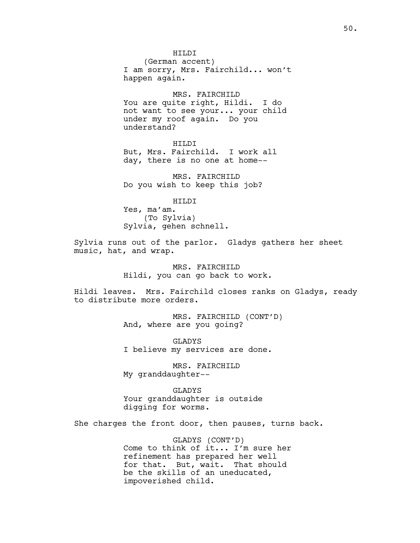HILDI (German accent) I am sorry, Mrs. Fairchild... won't happen again.

MRS. FAIRCHILD You are quite right, Hildi. I do not want to see your... your child under my roof again. Do you understand?

HILDI But, Mrs. Fairchild. I work all day, there is no one at home--

MRS. FAIRCHILD Do you wish to keep this job?

HILDI

Yes, ma'am. (To Sylvia) Sylvia, gehen schnell.

Sylvia runs out of the parlor. Gladys gathers her sheet music, hat, and wrap.

> MRS. FAIRCHILD Hildi, you can go back to work.

Hildi leaves. Mrs. Fairchild closes ranks on Gladys, ready to distribute more orders.

> MRS. FAIRCHILD (CONT'D) And, where are you going?

GLADYS I believe my services are done.

MRS. FAIRCHILD My granddaughter--

GLADYS Your granddaughter is outside digging for worms.

She charges the front door, then pauses, turns back.

GLADYS (CONT'D) Come to think of it... I'm sure her refinement has prepared her well for that. But, wait. That should be the skills of an uneducated, impoverished child.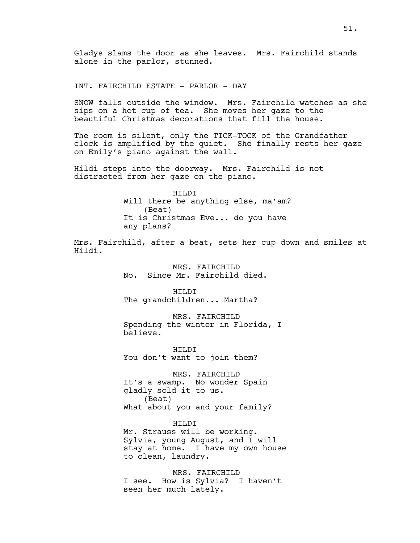Gladys slams the door as she leaves. Mrs. Fairchild stands alone in the parlor, stunned.

INT. FAIRCHILD ESTATE - PARLOR - DAY

SNOW falls outside the window. Mrs. Fairchild watches as she sips on a hot cup of tea. She moves her gaze to the beautiful Christmas decorations that fill the house.

The room is silent, only the TICK-TOCK of the Grandfather clock is amplified by the quiet. She finally rests her gaze on Emily's piano against the wall.

Hildi steps into the doorway. Mrs. Fairchild is not distracted from her gaze on the piano.

> HILDI Will there be anything else, ma'am? (Beat) It is Christmas Eve... do you have any plans?

Mrs. Fairchild, after a beat, sets her cup down and smiles at Hildi.

> MRS. FAIRCHILD No. Since Mr. Fairchild died.

HILDI The grandchildren... Martha?

MRS. FAIRCHILD Spending the winter in Florida, I believe.

HILDI You don't want to join them?

MRS. FAIRCHILD It's a swamp. No wonder Spain gladly sold it to us. (Beat) What about you and your family?

HILDI Mr. Strauss will be working. Sylvia, young August, and I will stay at home. I have my own house to clean, laundry.

MRS. FAIRCHILD I see. How is Sylvia? I haven't seen her much lately.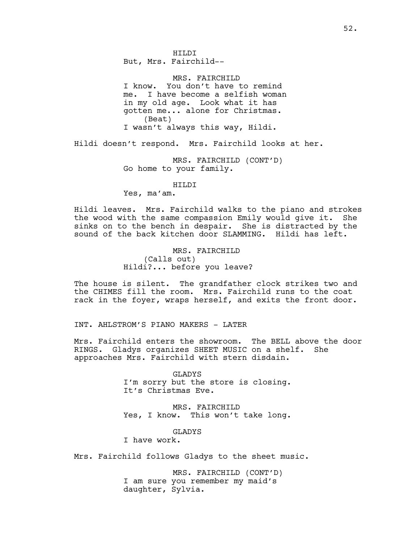HILDI But, Mrs. Fairchild--

MRS. FAIRCHILD I know. You don't have to remind me. I have become a selfish woman in my old age. Look what it has gotten me... alone for Christmas. (Beat) I wasn't always this way, Hildi.

Hildi doesn't respond. Mrs. Fairchild looks at her.

MRS. FAIRCHILD (CONT'D) Go home to your family.

## HILDI

Yes, ma'am.

Hildi leaves. Mrs. Fairchild walks to the piano and strokes the wood with the same compassion Emily would give it. She sinks on to the bench in despair. She is distracted by the sound of the back kitchen door SLAMMING. Hildi has left.

> MRS. FAIRCHILD (Calls out) Hildi?... before you leave?

The house is silent. The grandfather clock strikes two and the CHIMES fill the room. Mrs. Fairchild runs to the coat rack in the foyer, wraps herself, and exits the front door.

INT. AHLSTROM'S PIANO MAKERS - LATER

Mrs. Fairchild enters the showroom. The BELL above the door RINGS. Gladys organizes SHEET MUSIC on a shelf. She approaches Mrs. Fairchild with stern disdain.

> GLADYS I'm sorry but the store is closing. It's Christmas Eve.

> MRS. FAIRCHILD Yes, I know. This won't take long.

> > GLADYS

I have work.

Mrs. Fairchild follows Gladys to the sheet music.

MRS. FAIRCHILD (CONT'D) I am sure you remember my maid's daughter, Sylvia.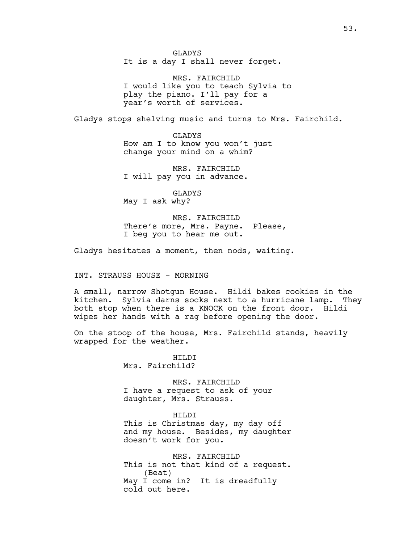GLADYS It is a day I shall never forget.

MRS. FAIRCHILD I would like you to teach Sylvia to play the piano. I'll pay for a year's worth of services.

Gladys stops shelving music and turns to Mrs. Fairchild.

GLADYS How am I to know you won't just change your mind on a whim?

MRS. FAIRCHILD I will pay you in advance.

GLADYS May I ask why?

MRS. FAIRCHILD There's more, Mrs. Payne. Please, I beg you to hear me out.

Gladys hesitates a moment, then nods, waiting.

INT. STRAUSS HOUSE - MORNING

A small, narrow Shotgun House. Hildi bakes cookies in the kitchen. Sylvia darns socks next to a hurricane lamp. They both stop when there is a KNOCK on the front door. Hildi wipes her hands with a rag before opening the door.

On the stoop of the house, Mrs. Fairchild stands, heavily wrapped for the weather.

> HILDI Mrs. Fairchild?

MRS. FAIRCHILD I have a request to ask of your daughter, Mrs. Strauss.

HILDI This is Christmas day, my day off and my house. Besides, my daughter doesn't work for you.

MRS. FAIRCHILD This is not that kind of a request. (Beat) May I come in? It is dreadfully cold out here.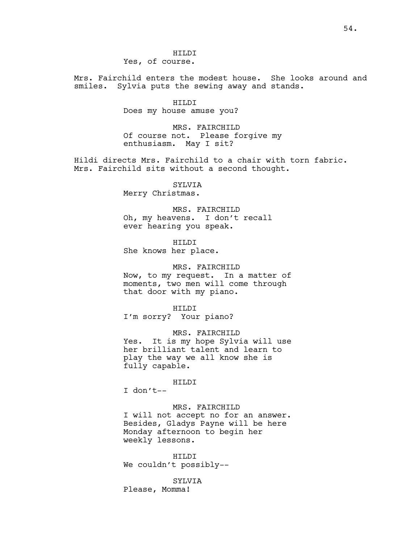## HILDI Yes, of course.

Mrs. Fairchild enters the modest house. She looks around and smiles. Sylvia puts the sewing away and stands.

> HILDI Does my house amuse you?

MRS. FAIRCHILD Of course not. Please forgive my enthusiasm. May I sit?

Hildi directs Mrs. Fairchild to a chair with torn fabric. Mrs. Fairchild sits without a second thought.

> SYLVIA Merry Christmas.

MRS. FAIRCHILD

Oh, my heavens. I don't recall ever hearing you speak.

HILDI She knows her place.

MRS. FAIRCHILD Now, to my request. In a matter of moments, two men will come through that door with my piano.

HILDI I'm sorry? Your piano?

MRS. FAIRCHILD Yes. It is my hope Sylvia will use her brilliant talent and learn to play the way we all know she is fully capable.

HILDI

I don't--

## MRS. FAIRCHILD

I will not accept no for an answer. Besides, Gladys Payne will be here Monday afternoon to begin her weekly lessons.

HILDI We couldn't possibly--

SYLVIA

Please, Momma!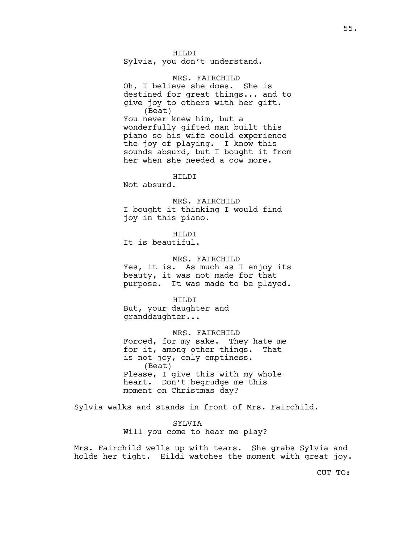HILDI Sylvia, you don't understand.

MRS. FAIRCHILD Oh, I believe she does. She is destined for great things... and to give joy to others with her gift. (Beat) You never knew him, but a wonderfully gifted man built this piano so his wife could experience the joy of playing. I know this sounds absurd, but I bought it from her when she needed a cow more.

HILDI

Not absurd.

MRS. FAIRCHILD I bought it thinking I would find joy in this piano.

HTLDT It is beautiful.

MRS. FAIRCHILD Yes, it is. As much as I enjoy its beauty, it was not made for that purpose. It was made to be played.

HILDI But, your daughter and granddaughter...

MRS. FAIRCHILD Forced, for my sake. They hate me for it, among other things. That is not joy, only emptiness. (Beat) Please, I give this with my whole heart. Don't begrudge me this moment on Christmas day?

Sylvia walks and stands in front of Mrs. Fairchild.

SYLVIA Will you come to hear me play?

Mrs. Fairchild wells up with tears. She grabs Sylvia and holds her tight. Hildi watches the moment with great joy.

CUT TO: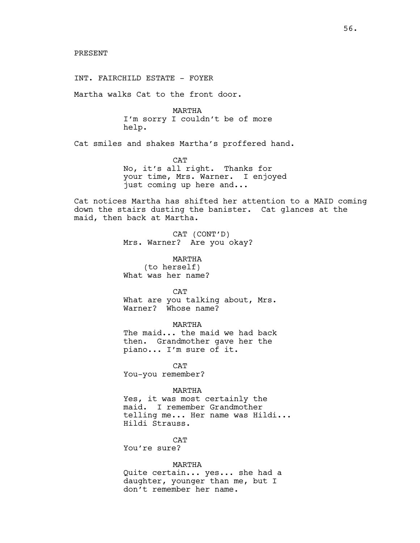INT. FAIRCHILD ESTATE - FOYER

Martha walks Cat to the front door.

MARTHA I'm sorry I couldn't be of more help.

Cat smiles and shakes Martha's proffered hand.

**CAT** No, it's all right. Thanks for your time, Mrs. Warner. I enjoyed just coming up here and...

Cat notices Martha has shifted her attention to a MAID coming down the stairs dusting the banister. Cat glances at the maid, then back at Martha.

> CAT (CONT'D) Mrs. Warner? Are you okay?

MARTHA (to herself) What was her name?

CAT

What are you talking about, Mrs. Warner? Whose name?

MARTHA

The maid... the maid we had back then. Grandmother gave her the piano... I'm sure of it.

**CAT** You-you remember?

MARTHA

Yes, it was most certainly the maid. I remember Grandmother telling me... Her name was Hildi... Hildi Strauss.

**CAT** You're sure?

MARTHA

Quite certain... yes... she had a daughter, younger than me, but I don't remember her name.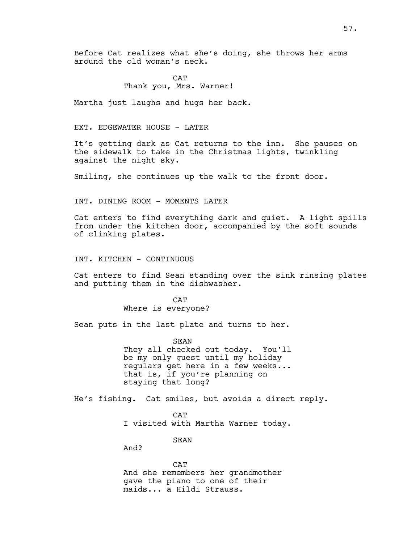Before Cat realizes what she's doing, she throws her arms around the old woman's neck.

> **CAT** Thank you, Mrs. Warner!

Martha just laughs and hugs her back.

EXT. EDGEWATER HOUSE - LATER

It's getting dark as Cat returns to the inn. She pauses on the sidewalk to take in the Christmas lights, twinkling against the night sky.

Smiling, she continues up the walk to the front door.

INT. DINING ROOM - MOMENTS LATER

Cat enters to find everything dark and quiet. A light spills from under the kitchen door, accompanied by the soft sounds of clinking plates.

INT. KITCHEN - CONTINUOUS

Cat enters to find Sean standing over the sink rinsing plates and putting them in the dishwasher.

> $CAP$ Where is everyone?

Sean puts in the last plate and turns to her.

SEAN They all checked out today. You'll be my only guest until my holiday regulars get here in a few weeks... that is, if you're planning on staying that long?

He's fishing. Cat smiles, but avoids a direct reply.

CAT

I visited with Martha Warner today.

SEAN

And?

CAT And she remembers her grandmother gave the piano to one of their maids... a Hildi Strauss.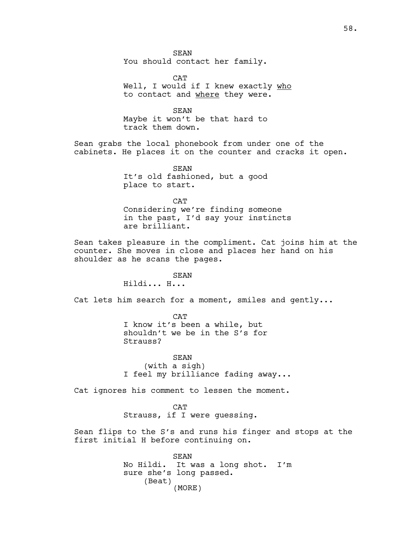**SEAN** You should contact her family.

**CAT** Well, I would if I knew exactly who to contact and where they were.

SEAN Maybe it won't be that hard to track them down.

Sean grabs the local phonebook from under one of the cabinets. He places it on the counter and cracks it open.

> SEAN It's old fashioned, but a good place to start.

**CAT** Considering we're finding someone in the past, I'd say your instincts are brilliant.

Sean takes pleasure in the compliment. Cat joins him at the counter. She moves in close and places her hand on his shoulder as he scans the pages.

### SEAN

Hildi... H...

Cat lets him search for a moment, smiles and gently...

CAT I know it's been a while, but shouldn't we be in the S's for Strauss?

SEAN (with a sigh) I feel my brilliance fading away...

Cat ignores his comment to lessen the moment.

CAT Strauss, if I were guessing.

Sean flips to the S's and runs his finger and stops at the first initial H before continuing on.

> SEAN No Hildi. It was a long shot. I'm sure she's long passed. (Beat) (MORE)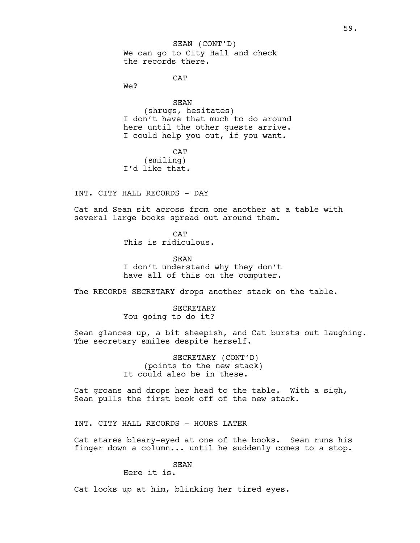**CAT** 

We?

SEAN (shrugs, hesitates) I don't have that much to do around here until the other guests arrive. I could help you out, if you want.

**CAT** (smiling) I'd like that.

INT. CITY HALL RECORDS - DAY

Cat and Sean sit across from one another at a table with several large books spread out around them.

> **CAT** This is ridiculous.

SEAN I don't understand why they don't have all of this on the computer.

The RECORDS SECRETARY drops another stack on the table.

SECRETARY You going to do it?

Sean glances up, a bit sheepish, and Cat bursts out laughing. The secretary smiles despite herself.

> SECRETARY (CONT'D) (points to the new stack) It could also be in these.

Cat groans and drops her head to the table. With a sigh, Sean pulls the first book off of the new stack.

INT. CITY HALL RECORDS - HOURS LATER

Cat stares bleary-eyed at one of the books. Sean runs his finger down a column... until he suddenly comes to a stop.

SEAN

Here it is.

Cat looks up at him, blinking her tired eyes.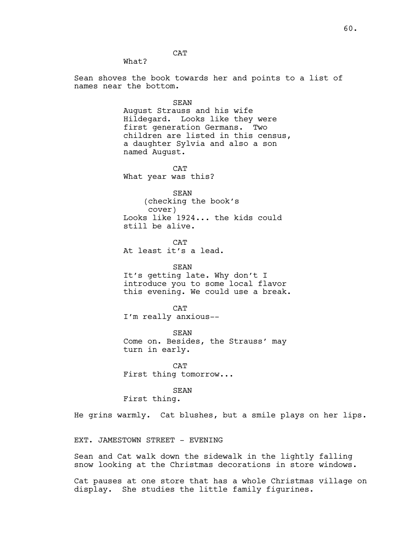**CAT** 

What?

Sean shoves the book towards her and points to a list of names near the bottom.

> SEAN August Strauss and his wife Hildegard. Looks like they were first generation Germans. Two children are listed in this census, a daughter Sylvia and also a son named August.

**CAT** What year was this?

SEAN (checking the book's cover) Looks like 1924... the kids could still be alive.

 $CAP$ At least it's a lead.

SEAN It's getting late. Why don't I introduce you to some local flavor this evening. We could use a break.

**CAT** I'm really anxious--

SEAN Come on. Besides, the Strauss' may turn in early.

**CAT** First thing tomorrow...

SEAN First thing.

He grins warmly. Cat blushes, but a smile plays on her lips.

EXT. JAMESTOWN STREET - EVENING

Sean and Cat walk down the sidewalk in the lightly falling snow looking at the Christmas decorations in store windows.

Cat pauses at one store that has a whole Christmas village on display. She studies the little family figurines.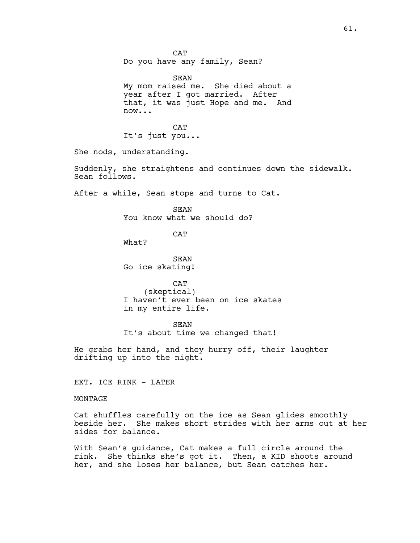**CAT** Do you have any family, Sean? SEAN My mom raised me. She died about a year after I got married. After that, it was just Hope and me. And now... **CAT** It's just you... She nods, understanding. Suddenly, she straightens and continues down the sidewalk. Sean follows. After a while, Sean stops and turns to Cat. SEAN You know what we should do? **CAT** What? SEAN Go ice skating! CAT (skeptical) I haven't ever been on ice skates in my entire life. SEAN It's about time we changed that! He grabs her hand, and they hurry off, their laughter drifting up into the night. EXT. ICE RINK - LATER MONTAGE Cat shuffles carefully on the ice as Sean glides smoothly beside her. She makes short strides with her arms out at her sides for balance.

With Sean's guidance, Cat makes a full circle around the rink. She thinks she's got it. Then, a KID shoots around her, and she loses her balance, but Sean catches her.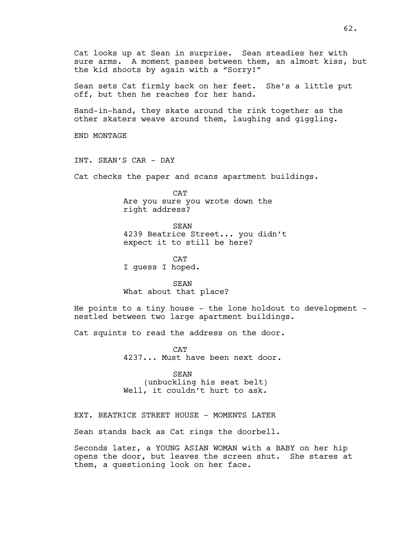Cat looks up at Sean in surprise. Sean steadies her with sure arms. A moment passes between them, an almost kiss, but the kid shoots by again with a "Sorry!" Sean sets Cat firmly back on her feet. She's a little put off, but then he reaches for her hand. Hand-in-hand, they skate around the rink together as the other skaters weave around them, laughing and giggling. END MONTAGE INT. SEAN'S CAR - DAY Cat checks the paper and scans apartment buildings. CAT Are you sure you wrote down the right address? SEAN 4239 Beatrice Street... you didn't expect it to still be here? **CAT** I guess I hoped. SEAN What about that place? He points to a tiny house - the lone holdout to development nestled between two large apartment buildings. Cat squints to read the address on the door. **CAT** 4237... Must have been next door. SEAN

(unbuckling his seat belt) Well, it couldn't hurt to ask.

EXT. BEATRICE STREET HOUSE - MOMENTS LATER

Sean stands back as Cat rings the doorbell.

Seconds later, a YOUNG ASIAN WOMAN with a BABY on her hip opens the door, but leaves the screen shut. She stares at them, a questioning look on her face.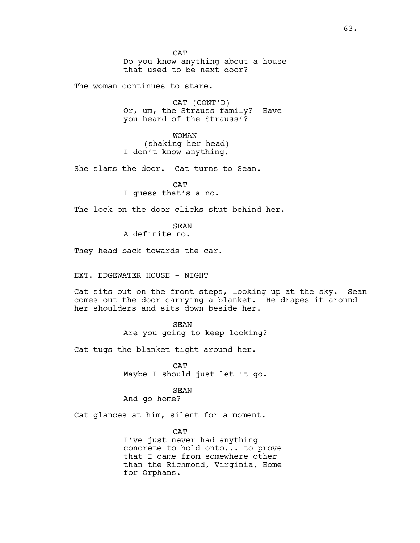**CAT** Do you know anything about a house that used to be next door?

The woman continues to stare.

CAT (CONT'D) Or, um, the Strauss family? Have you heard of the Strauss'?

WOMAN (shaking her head) I don't know anything.

She slams the door. Cat turns to Sean.

**CAT** 

I guess that's a no.

The lock on the door clicks shut behind her.

SEAN A definite no.

They head back towards the car.

EXT. EDGEWATER HOUSE - NIGHT

Cat sits out on the front steps, looking up at the sky. Sean comes out the door carrying a blanket. He drapes it around her shoulders and sits down beside her.

SEAN

Are you going to keep looking?

Cat tugs the blanket tight around her.

CAT Maybe I should just let it go.

SEAN

And go home?

Cat glances at him, silent for a moment.

**CAT** I've just never had anything concrete to hold onto... to prove that I came from somewhere other than the Richmond, Virginia, Home for Orphans.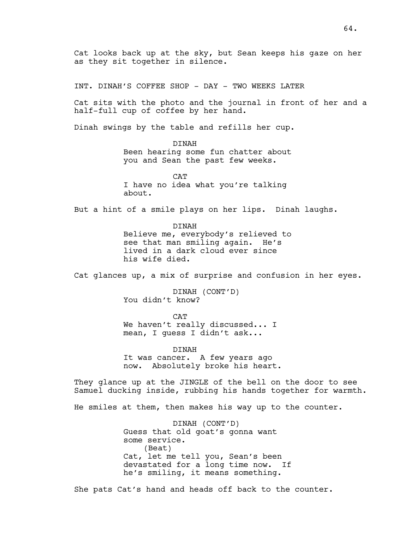Cat looks back up at the sky, but Sean keeps his gaze on her as they sit together in silence.

INT. DINAH'S COFFEE SHOP - DAY - TWO WEEKS LATER

Cat sits with the photo and the journal in front of her and a half-full cup of coffee by her hand.

Dinah swings by the table and refills her cup.

DINAH Been hearing some fun chatter about you and Sean the past few weeks.

 $C<sub>D</sub>$ I have no idea what you're talking about.

But a hint of a smile plays on her lips. Dinah laughs.

DINAH Believe me, everybody's relieved to see that man smiling again. He's lived in a dark cloud ever since his wife died.

Cat glances up, a mix of surprise and confusion in her eyes.

DINAH (CONT'D) You didn't know?

**CAT** We haven't really discussed... I mean, I guess I didn't ask...

DINAH It was cancer. A few years ago now. Absolutely broke his heart.

They glance up at the JINGLE of the bell on the door to see Samuel ducking inside, rubbing his hands together for warmth.

He smiles at them, then makes his way up to the counter.

DINAH (CONT'D) Guess that old goat's gonna want some service. (Beat) Cat, let me tell you, Sean's been devastated for a long time now. If he's smiling, it means something.

She pats Cat's hand and heads off back to the counter.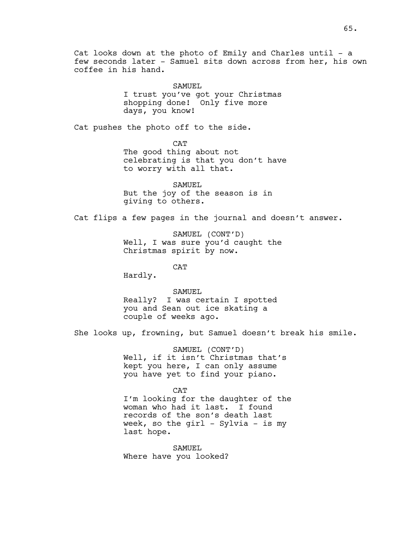Cat looks down at the photo of Emily and Charles until - a few seconds later - Samuel sits down across from her, his own coffee in his hand.

> SAMUEL I trust you've got your Christmas shopping done! Only five more days, you know!

Cat pushes the photo off to the side.

CAT The good thing about not celebrating is that you don't have to worry with all that.

SAMUEL But the joy of the season is in giving to others.

Cat flips a few pages in the journal and doesn't answer.

SAMUEL (CONT'D) Well, I was sure you'd caught the Christmas spirit by now.

**CAT** 

Hardly.

SAMUEL Really? I was certain I spotted you and Sean out ice skating a couple of weeks ago.

She looks up, frowning, but Samuel doesn't break his smile.

SAMUEL (CONT'D) Well, if it isn't Christmas that's kept you here, I can only assume you have yet to find your piano.

CAT I'm looking for the daughter of the woman who had it last. I found records of the son's death last week, so the girl - Sylvia - is my last hope.

SAMUEL Where have you looked?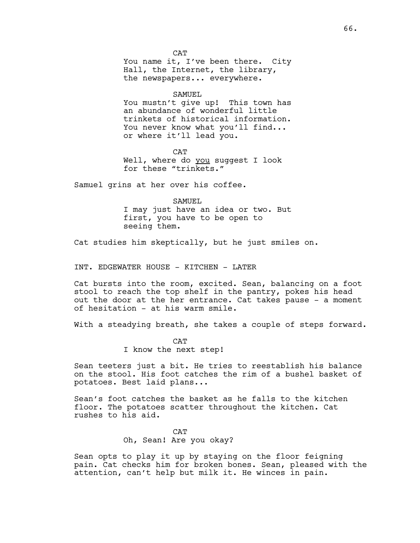**CAT** You name it, I've been there. City Hall, the Internet, the library, the newspapers... everywhere.

#### SAMUEL

You mustn't give up! This town has an abundance of wonderful little trinkets of historical information. You never know what you'll find... or where it'll lead you.

**CAT** Well, where do you suggest I look for these "trinkets."

Samuel grins at her over his coffee.

SAMUEL

I may just have an idea or two. But first, you have to be open to seeing them.

Cat studies him skeptically, but he just smiles on.

INT. EDGEWATER HOUSE - KITCHEN - LATER

Cat bursts into the room, excited. Sean, balancing on a foot stool to reach the top shelf in the pantry, pokes his head out the door at the her entrance. Cat takes pause - a moment of hesitation - at his warm smile.

With a steadying breath, she takes a couple of steps forward.

CAT I know the next step!

Sean teeters just a bit. He tries to reestablish his balance on the stool. His foot catches the rim of a bushel basket of potatoes. Best laid plans...

Sean's foot catches the basket as he falls to the kitchen floor. The potatoes scatter throughout the kitchen. Cat rushes to his aid.

> **CAT** Oh, Sean! Are you okay?

Sean opts to play it up by staying on the floor feigning pain. Cat checks him for broken bones. Sean, pleased with the attention, can't help but milk it. He winces in pain.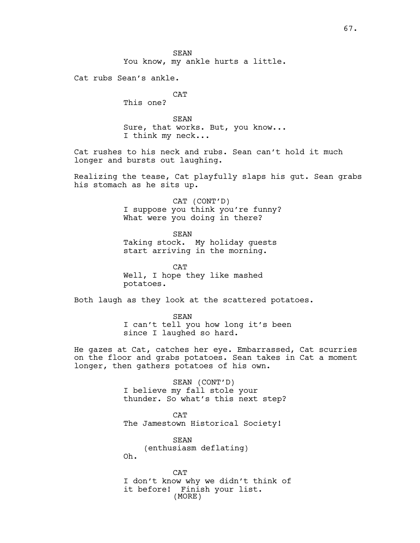SEAN You know, my ankle hurts a little.

Cat rubs Sean's ankle.

CAT This one?

SEAN Sure, that works. But, you know... I think my neck...

Cat rushes to his neck and rubs. Sean can't hold it much longer and bursts out laughing.

Realizing the tease, Cat playfully slaps his gut. Sean grabs his stomach as he sits up.

> CAT (CONT'D) I suppose you think you're funny? What were you doing in there?

SEAN Taking stock. My holiday guests start arriving in the morning.

**CAT** Well, I hope they like mashed potatoes.

Both laugh as they look at the scattered potatoes.

SEAN

I can't tell you how long it's been since I laughed so hard.

He gazes at Cat, catches her eye. Embarrassed, Cat scurries on the floor and grabs potatoes. Sean takes in Cat a moment longer, then gathers potatoes of his own.

> SEAN (CONT'D) I believe my fall stole your thunder. So what's this next step?

**CAT** The Jamestown Historical Society!

SEAN (enthusiasm deflating) Oh.

**CAT** I don't know why we didn't think of it before! Finish your list. (MORE)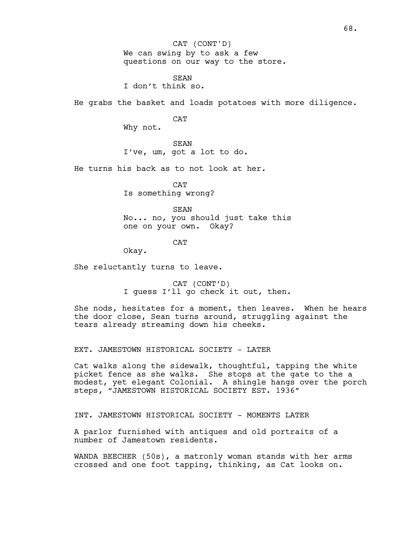We can swing by to ask a few questions on our way to the store. CAT (CONT'D)

**SEAN** I don't think so.

He grabs the basket and loads potatoes with more diligence.

**CAT** 

Why not.

SEAN I've, um, got a lot to do.

He turns his back as to not look at her.

**CAT** Is something wrong?

SEAN No... no, you should just take this one on your own. Okay?

**CAT** 

Okay.

She reluctantly turns to leave.

CAT (CONT'D) I guess I'll go check it out, then.

She nods, hesitates for a moment, then leaves. When he hears the door close, Sean turns around, struggling against the tears already streaming down his cheeks.

EXT. JAMESTOWN HISTORICAL SOCIETY - LATER

Cat walks along the sidewalk, thoughtful, tapping the white picket fence as she walks. She stops at the gate to the a modest, yet elegant Colonial. A shingle hangs over the porch steps, "JAMESTOWN HISTORICAL SOCIETY EST. 1936"

INT. JAMESTOWN HISTORICAL SOCIETY - MOMENTS LATER

A parlor furnished with antiques and old portraits of a number of Jamestown residents.

WANDA BEECHER (50s), a matronly woman stands with her arms crossed and one foot tapping, thinking, as Cat looks on.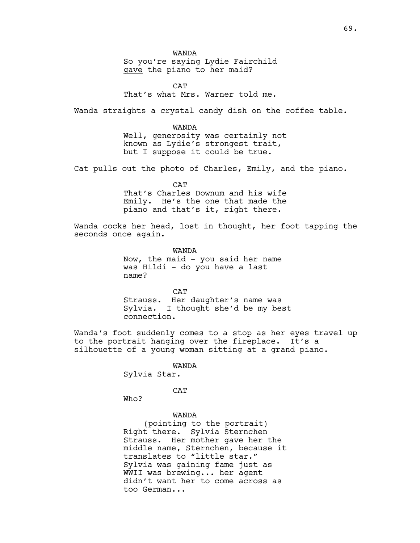WANDA So you're saying Lydie Fairchild gave the piano to her maid?

**CAT** That's what Mrs. Warner told me.

Wanda straights a crystal candy dish on the coffee table.

WANDA Well, generosity was certainly not known as Lydie's strongest trait, but I suppose it could be true.

Cat pulls out the photo of Charles, Emily, and the piano.

**CAT** That's Charles Downum and his wife Emily. He's the one that made the piano and that's it, right there.

Wanda cocks her head, lost in thought, her foot tapping the seconds once again.

> WANDA Now, the maid - you said her name was Hildi - do you have a last name?

**CAT** Strauss. Her daughter's name was Sylvia. I thought she'd be my best connection.

Wanda's foot suddenly comes to a stop as her eyes travel up<br>to the portrait hanging over the fireplace. It's a to the portrait hanging over the fireplace. silhouette of a young woman sitting at a grand piano.

WANDA

Sylvia Star.

CAT

Who?

#### WANDA

(pointing to the portrait) Right there. Sylvia Sternchen Strauss. Her mother gave her the middle name, Sternchen, because it translates to "little star." Sylvia was gaining fame just as WWII was brewing... her agent didn't want her to come across as too German...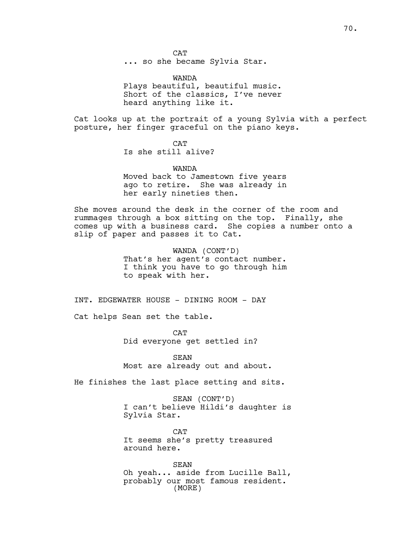**CAT** ... so she became Sylvia Star.

WANDA Plays beautiful, beautiful music. Short of the classics, I've never heard anything like it.

Cat looks up at the portrait of a young Sylvia with a perfect posture, her finger graceful on the piano keys.

> **CAT** Is she still alive?

WANDA Moved back to Jamestown five years ago to retire. She was already in her early nineties then.

She moves around the desk in the corner of the room and rummages through a box sitting on the top. Finally, she comes up with a business card. She copies a number onto a slip of paper and passes it to Cat.

> WANDA (CONT'D) That's her agent's contact number. I think you have to go through him to speak with her.

INT. EDGEWATER HOUSE - DINING ROOM - DAY

Cat helps Sean set the table.

CAT Did everyone get settled in?

**SEAN** Most are already out and about.

He finishes the last place setting and sits.

SEAN (CONT'D) I can't believe Hildi's daughter is Sylvia Star.

CAT It seems she's pretty treasured around here.

SEAN Oh yeah... aside from Lucille Ball, probably our most famous resident. (MORE)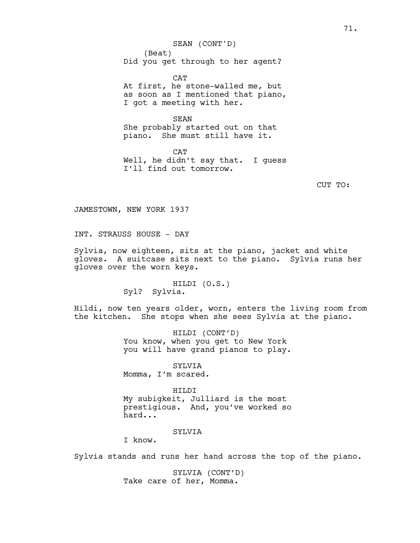(Beat) Did you get through to her agent? SEAN (CONT'D)

**CAT** At first, he stone-walled me, but as soon as I mentioned that piano, I got a meeting with her.

SEAN She probably started out on that piano. She must still have it.

**CAT** Well, he didn't say that. I quess I'll find out tomorrow.

CUT TO:

JAMESTOWN, NEW YORK 1937

INT. STRAUSS HOUSE - DAY

Sylvia, now eighteen, sits at the piano, jacket and white gloves. A suitcase sits next to the piano. Sylvia runs her gloves over the worn keys.

> HILDI (O.S.) Syl? Sylvia.

Hildi, now ten years older, worn, enters the living room from the kitchen. She stops when she sees Sylvia at the piano.

> HILDI (CONT'D) You know, when you get to New York you will have grand pianos to play.

SYLVIA Momma, I'm scared.

HILDI My subigkeit, Julliard is the most prestigious. And, you've worked so hard...

## **SYLVIA**

I know.

Sylvia stands and runs her hand across the top of the piano.

SYLVIA (CONT'D) Take care of her, Momma.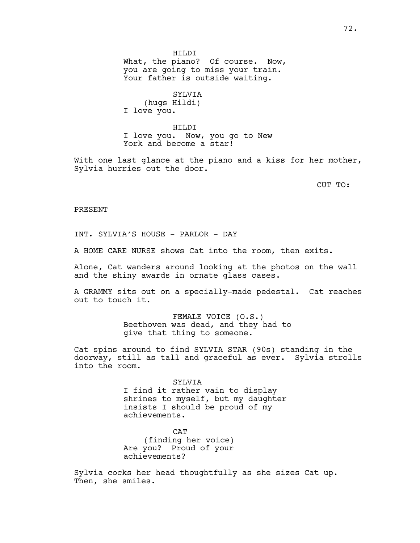HILDI What, the piano? Of course. Now, you are going to miss your train. Your father is outside waiting.

SYLVIA (hugs Hildi) I love you.

HILDI I love you. Now, you go to New York and become a star!

With one last glance at the piano and a kiss for her mother, Sylvia hurries out the door.

CUT TO:

### PRESENT

INT. SYLVIA'S HOUSE - PARLOR - DAY

A HOME CARE NURSE shows Cat into the room, then exits.

Alone, Cat wanders around looking at the photos on the wall and the shiny awards in ornate glass cases.

A GRAMMY sits out on a specially-made pedestal. Cat reaches out to touch it.

> FEMALE VOICE (O.S.) Beethoven was dead, and they had to give that thing to someone.

Cat spins around to find SYLVIA STAR (90s) standing in the doorway, still as tall and graceful as ever. Sylvia strolls into the room.

#### SYLVIA

I find it rather vain to display shrines to myself, but my daughter insists I should be proud of my achievements.

**CAT** (finding her voice) Are you? Proud of your achievements?

Sylvia cocks her head thoughtfully as she sizes Cat up. Then, she smiles.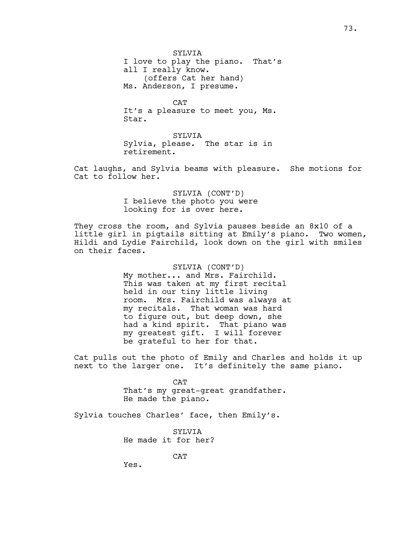**SYLVIA** I love to play the piano. That's all I really know. (offers Cat her hand) Ms. Anderson, I presume.

CAT It's a pleasure to meet you, Ms. Star.

SYLVIA Sylvia, please. The star is in retirement.

Cat laughs, and Sylvia beams with pleasure. She motions for Cat to follow her.

> SYLVIA (CONT'D) I believe the photo you were looking for is over here.

They cross the room, and Sylvia pauses beside an 8x10 of a little girl in pigtails sitting at Emily's piano. Two women, Hildi and Lydie Fairchild, look down on the girl with smiles on their faces.

> SYLVIA (CONT'D) My mother... and Mrs. Fairchild. This was taken at my first recital held in our tiny little living room. Mrs. Fairchild was always at my recitals. That woman was hard to figure out, but deep down, she had a kind spirit. That piano was my greatest gift. I will forever be grateful to her for that.

Cat pulls out the photo of Emily and Charles and holds it up next to the larger one. It's definitely the same piano.

> **CAT** That's my great-great grandfather. He made the piano.

Sylvia touches Charles' face, then Emily's.

**SYLVIA** He made it for her?

CAT

Yes.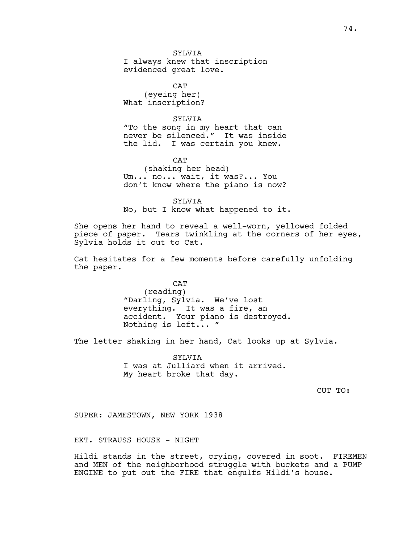SYLVIA I always knew that inscription evidenced great love.

**CAT** (eyeing her) What inscription?

# SYLVIA

"To the song in my heart that can never be silenced." It was inside the lid. I was certain you knew.

CAT (shaking her head) Um... no... wait, it was?... You don't know where the piano is now?

SYLVIA No, but I know what happened to it.

She opens her hand to reveal a well-worn, yellowed folded piece of paper. Tears twinkling at the corners of her eyes, Sylvia holds it out to Cat.

Cat hesitates for a few moments before carefully unfolding the paper.

> **CAT** (reading) "Darling, Sylvia. We've lost everything. It was a fire, an accident. Your piano is destroyed. Nothing is left... "

The letter shaking in her hand, Cat looks up at Sylvia.

**SYLVIA** I was at Julliard when it arrived. My heart broke that day.

CUT TO:

SUPER: JAMESTOWN, NEW YORK 1938

EXT. STRAUSS HOUSE - NIGHT

Hildi stands in the street, crying, covered in soot. FIREMEN and MEN of the neighborhood struggle with buckets and a PUMP ENGINE to put out the FIRE that engulfs Hildi's house.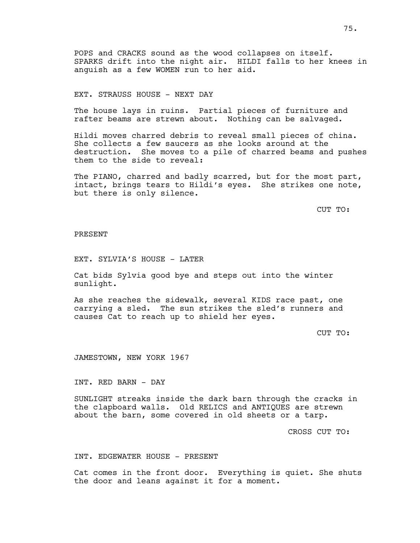POPS and CRACKS sound as the wood collapses on itself. SPARKS drift into the night air. HILDI falls to her knees in anguish as a few WOMEN run to her aid.

## EXT. STRAUSS HOUSE - NEXT DAY

The house lays in ruins. Partial pieces of furniture and rafter beams are strewn about. Nothing can be salvaged.

Hildi moves charred debris to reveal small pieces of china. She collects a few saucers as she looks around at the destruction. She moves to a pile of charred beams and pushes them to the side to reveal:

The PIANO, charred and badly scarred, but for the most part, intact, brings tears to Hildi's eyes. She strikes one note, but there is only silence.

CUT TO:

## PRESENT

EXT. SYLVIA'S HOUSE - LATER

Cat bids Sylvia good bye and steps out into the winter sunlight.

As she reaches the sidewalk, several KIDS race past, one carrying a sled. The sun strikes the sled's runners and causes Cat to reach up to shield her eyes.

CUT TO:

JAMESTOWN, NEW YORK 1967

INT. RED BARN - DAY

SUNLIGHT streaks inside the dark barn through the cracks in the clapboard walls. Old RELICS and ANTIQUES are strewn about the barn, some covered in old sheets or a tarp.

CROSS CUT TO:

INT. EDGEWATER HOUSE - PRESENT

Cat comes in the front door. Everything is quiet. She shuts the door and leans against it for a moment.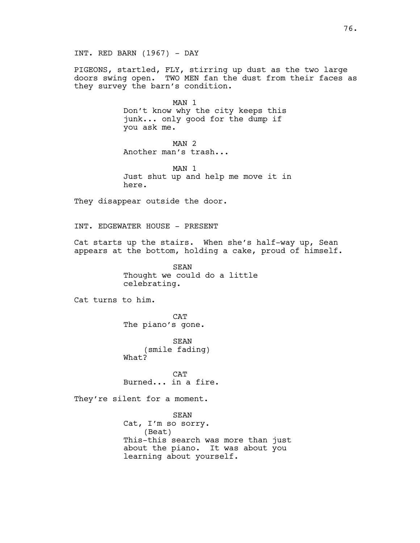INT. RED BARN (1967) - DAY

PIGEONS, startled, FLY, stirring up dust as the two large doors swing open. TWO MEN fan the dust from their faces as they survey the barn's condition.

> MAN 1 Don't know why the city keeps this junk... only good for the dump if you ask me.

MAN 2 Another man's trash...

MAN 1 Just shut up and help me move it in here.

They disappear outside the door.

INT. EDGEWATER HOUSE - PRESENT

Cat starts up the stairs. When she's half-way up, Sean appears at the bottom, holding a cake, proud of himself.

> SEAN Thought we could do a little celebrating.

Cat turns to him.

CAT The piano's gone.

SEAN (smile fading) What?

**CAT** Burned... in a fire.

They're silent for a moment.

SEAN Cat, I'm so sorry. (Beat) This-this search was more than just about the piano. It was about you learning about yourself.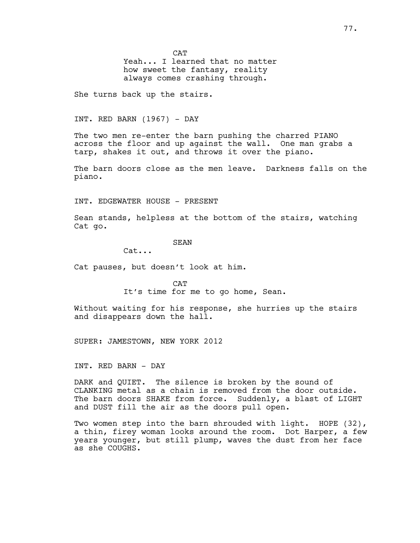**CAT** Yeah... I learned that no matter how sweet the fantasy, reality always comes crashing through.

She turns back up the stairs.

## INT. RED BARN (1967) - DAY

The two men re-enter the barn pushing the charred PIANO across the floor and up against the wall. One man grabs a tarp, shakes it out, and throws it over the piano.

The barn doors close as the men leave. Darkness falls on the piano.

INT. EDGEWATER HOUSE - PRESENT

Sean stands, helpless at the bottom of the stairs, watching Cat go.

## SEAN

 $Cat.$ ...

Cat pauses, but doesn't look at him.

CAT It's time for me to go home, Sean.

Without waiting for his response, she hurries up the stairs and disappears down the hall.

SUPER: JAMESTOWN, NEW YORK 2012

INT. RED BARN - DAY

DARK and QUIET. The silence is broken by the sound of CLANKING metal as a chain is removed from the door outside. The barn doors SHAKE from force. Suddenly, a blast of LIGHT and DUST fill the air as the doors pull open.

Two women step into the barn shrouded with light. HOPE (32), a thin, firey woman looks around the room. Dot Harper, a few years younger, but still plump, waves the dust from her face as she COUGHS.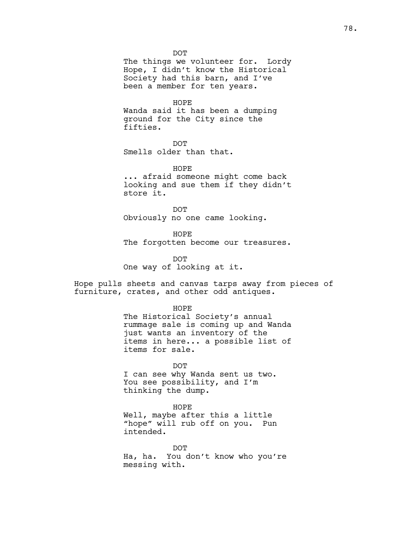**DOT** 

The things we volunteer for. Lordy Hope, I didn't know the Historical Society had this barn, and I've been a member for ten years.

HOPE

Wanda said it has been a dumping ground for the City since the fifties.

DOT Smells older than that.

HOPE

... afraid someone might come back looking and sue them if they didn't store it.

**DOT** Obviously no one came looking.

HOPE The forgotten become our treasures.

DOT One way of looking at it.

Hope pulls sheets and canvas tarps away from pieces of furniture, crates, and other odd antiques.

> HOPE The Historical Society's annual rummage sale is coming up and Wanda just wants an inventory of the items in here... a possible list of items for sale.

DOT I can see why Wanda sent us two. You see possibility, and I'm thinking the dump.

HOPE Well, maybe after this a little "hope" will rub off on you. Pun intended.

**DOT** Ha, ha. You don't know who you're messing with.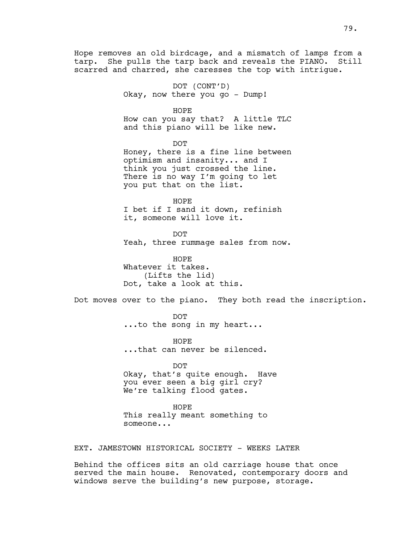Hope removes an old birdcage, and a mismatch of lamps from a tarp. She pulls the tarp back and reveals the PIANO. Still scarred and charred, she caresses the top with intrigue.

> DOT (CONT'D) Okay, now there you go - Dump!

> > HOPE

How can you say that? A little TLC and this piano will be like new.

DOT

Honey, there is a fine line between optimism and insanity... and I think you just crossed the line. There is no way I'm going to let you put that on the list.

HOPE I bet if I sand it down, refinish it, someone will love it.

**DOT** Yeah, three rummage sales from now.

HOPE Whatever it takes. (Lifts the lid) Dot, take a look at this.

Dot moves over to the piano. They both read the inscription.

DOT ...to the song in my heart...

HOPE ...that can never be silenced.

DOT Okay, that's quite enough. Have you ever seen a big girl cry? We're talking flood gates.

HOPE This really meant something to someone...

EXT. JAMESTOWN HISTORICAL SOCIETY - WEEKS LATER

Behind the offices sits an old carriage house that once served the main house. Renovated, contemporary doors and windows serve the building's new purpose, storage.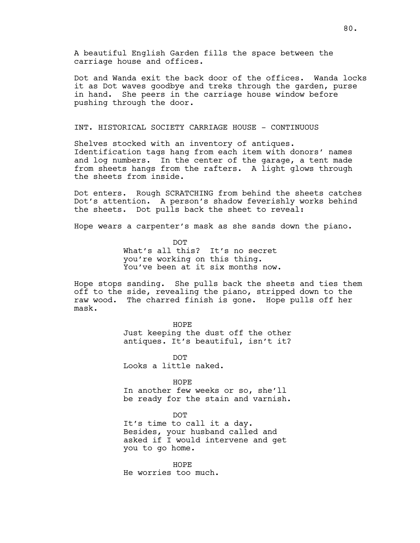A beautiful English Garden fills the space between the carriage house and offices.

Dot and Wanda exit the back door of the offices. Wanda locks it as Dot waves goodbye and treks through the garden, purse in hand. She peers in the carriage house window before pushing through the door.

INT. HISTORICAL SOCIETY CARRIAGE HOUSE - CONTINUOUS

Shelves stocked with an inventory of antiques. Identification tags hang from each item with donors' names and log numbers. In the center of the garage, a tent made from sheets hangs from the rafters. A light glows through the sheets from inside.

Dot enters. Rough SCRATCHING from behind the sheets catches Dot's attention. A person's shadow feverishly works behind the sheets. Dot pulls back the sheet to reveal:

Hope wears a carpenter's mask as she sands down the piano.

DOT What's all this? It's no secret you're working on this thing. You've been at it six months now.

Hope stops sanding. She pulls back the sheets and ties them off to the side, revealing the piano, stripped down to the raw wood. The charred finish is gone. Hope pulls off her mask.

> HOPE Just keeping the dust off the other antiques. It's beautiful, isn't it?

 $DOP$ Looks a little naked.

HOPE In another few weeks or so, she'll be ready for the stain and varnish.

**DOT** It's time to call it a day. Besides, your husband called and asked if I would intervene and get you to go home.

HOPE He worries too much.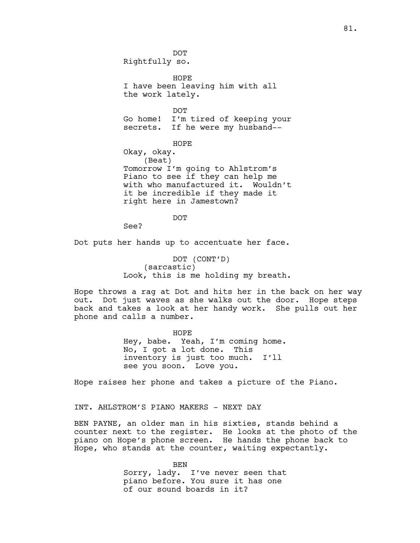DOT Rightfully so. HOPE I have been leaving him with all the work lately. DOT Go home! I'm tired of keeping your secrets. If he were my husband-- HOPE Okay, okay. (Beat) Tomorrow I'm going to Ahlstrom's Piano to see if they can help me with who manufactured it. Wouldn't it be incredible if they made it right here in Jamestown?

**DOT** 

See?

Dot puts her hands up to accentuate her face.

DOT (CONT'D) (sarcastic) Look, this is me holding my breath.

Hope throws a rag at Dot and hits her in the back on her way out. Dot just waves as she walks out the door. Hope steps back and takes a look at her handy work. She pulls out her phone and calls a number.

> HOPE Hey, babe. Yeah, I'm coming home. No, I got a lot done. This inventory is just too much. I'll see you soon. Love you.

Hope raises her phone and takes a picture of the Piano.

INT. AHLSTROM'S PIANO MAKERS - NEXT DAY

BEN PAYNE, an older man in his sixties, stands behind a counter next to the register. He looks at the photo of the piano on Hope's phone screen. He hands the phone back to Hope, who stands at the counter, waiting expectantly.

> BEN Sorry, lady. I've never seen that piano before. You sure it has one of our sound boards in it?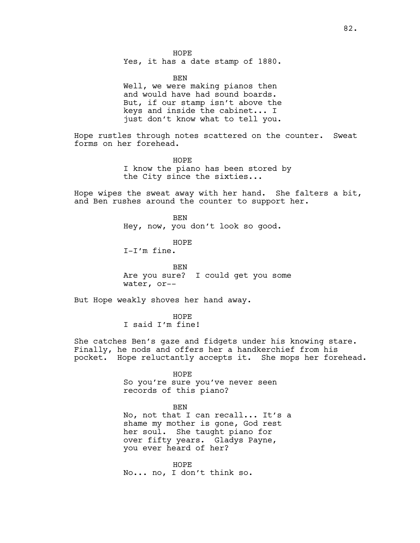Yes, it has a date stamp of 1880.

**BEN** 

Well, we were making pianos then and would have had sound boards. But, if our stamp isn't above the keys and inside the cabinet... I just don't know what to tell you.

Hope rustles through notes scattered on the counter. Sweat forms on her forehead.

> HOPE I know the piano has been stored by the City since the sixties...

Hope wipes the sweat away with her hand. She falters a bit, and Ben rushes around the counter to support her.

> BEN Hey, now, you don't look so good.

> > HOPE

I-I'm fine.

BEN Are you sure? I could get you some water, or--

But Hope weakly shoves her hand away.

HOPE I said I'm fine!

She catches Ben's gaze and fidgets under his knowing stare. Finally, he nods and offers her a handkerchief from his pocket. Hope reluctantly accepts it. She mops her forehead.

HOPE

So you're sure you've never seen records of this piano?

#### BEN

No, not that I can recall... It's a shame my mother is gone, God rest her soul. She taught piano for over fifty years. Gladys Payne, you ever heard of her?

HOPE No... no, I don't think so.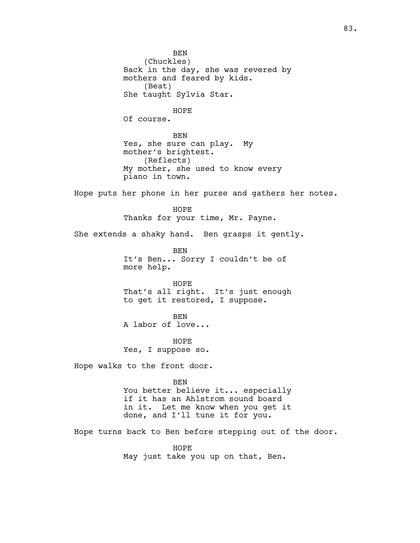BEN (Chuckles) Back in the day, she was revered by mothers and feared by kids. (Beat) She taught Sylvia Star. HOPE Of course. BEN Yes, she sure can play. My mother's brightest. (Reflects) My mother, she used to know every piano in town. Hope puts her phone in her purse and gathers her notes. HOPE Thanks for your time, Mr. Payne. She extends a shaky hand. Ben grasps it gently. BEN It's Ben... Sorry I couldn't be of more help. HOPE That's all right. It's just enough to get it restored, I suppose. BEN A labor of love... HOPE Yes, I suppose so. Hope walks to the front door. BEN You better believe it... especially if it has an Ahlstrom sound board in it. Let me know when you get it done, and I'll tune it for you. Hope turns back to Ben before stepping out of the door. HOPE May just take you up on that, Ben.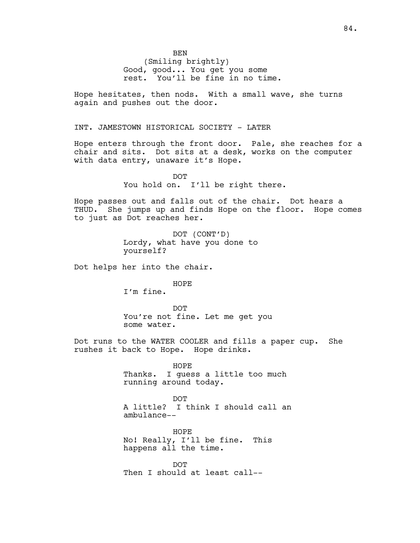BEN (Smiling brightly) Good, good... You get you some rest. You'll be fine in no time.

Hope hesitates, then nods. With a small wave, she turns again and pushes out the door.

INT. JAMESTOWN HISTORICAL SOCIETY - LATER

Hope enters through the front door. Pale, she reaches for a chair and sits. Dot sits at a desk, works on the computer with data entry, unaware it's Hope.

> **DOT** You hold on. I'll be right there.

Hope passes out and falls out of the chair. Dot hears a THUD. She jumps up and finds Hope on the floor. Hope comes to just as Dot reaches her.

> DOT (CONT'D) Lordy, what have you done to yourself?

Dot helps her into the chair.

HOPE

I'm fine.

**DOT** You're not fine. Let me get you some water.

Dot runs to the WATER COOLER and fills a paper cup. She rushes it back to Hope. Hope drinks.

> HOPE Thanks. I guess a little too much running around today.

DOT A little? I think I should call an ambulance--

HOPE No! Really, I'll be fine. This happens all the time.

DOT Then I should at least call--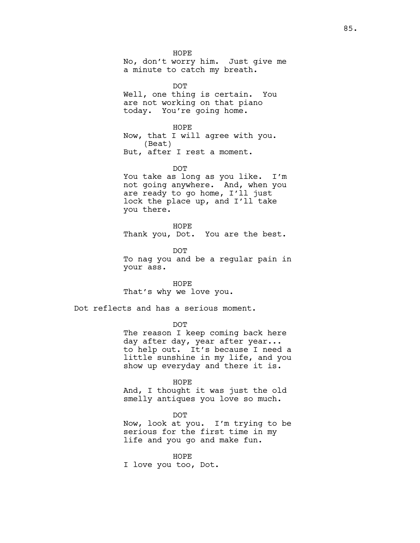HOPE No, don't worry him. Just give me a minute to catch my breath.

DOT Well, one thing is certain. You are not working on that piano today. You're going home.

HOPE Now, that I will agree with you. (Beat) But, after I rest a moment.

DOT

You take as long as you like. I'm not going anywhere. And, when you are ready to go home, I'll just lock the place up, and I'll take you there.

HOPE Thank you, Dot. You are the best.

DOT To nag you and be a regular pain in your ass.

HOPE That's why we love you.

Dot reflects and has a serious moment.

DOT

The reason I keep coming back here day after day, year after year... to help out. It's because I need a little sunshine in my life, and you show up everyday and there it is.

HOPE

And, I thought it was just the old smelly antiques you love so much.

DOT Now, look at you. I'm trying to be serious for the first time in my life and you go and make fun.

HOPE I love you too, Dot.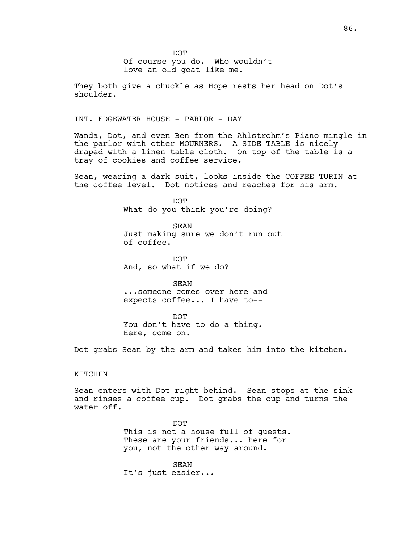**DOT** Of course you do. Who wouldn't love an old goat like me.

They both give a chuckle as Hope rests her head on Dot's shoulder.

INT. EDGEWATER HOUSE - PARLOR - DAY

Wanda, Dot, and even Ben from the Ahlstrohm's Piano mingle in the parlor with other MOURNERS. A SIDE TABLE is nicely draped with a linen table cloth. On top of the table is a tray of cookies and coffee service.

Sean, wearing a dark suit, looks inside the COFFEE TURIN at the coffee level. Dot notices and reaches for his arm.

> DOT What do you think you're doing?

SEAN Just making sure we don't run out of coffee.

DOT And, so what if we do?

SEAN ...someone comes over here and expects coffee... I have to--

DOT You don't have to do a thing. Here, come on.

Dot grabs Sean by the arm and takes him into the kitchen.

KITCHEN

Sean enters with Dot right behind. Sean stops at the sink and rinses a coffee cup. Dot grabs the cup and turns the water off.

> DOT This is not a house full of guests. These are your friends... here for you, not the other way around.

SEAN It's just easier...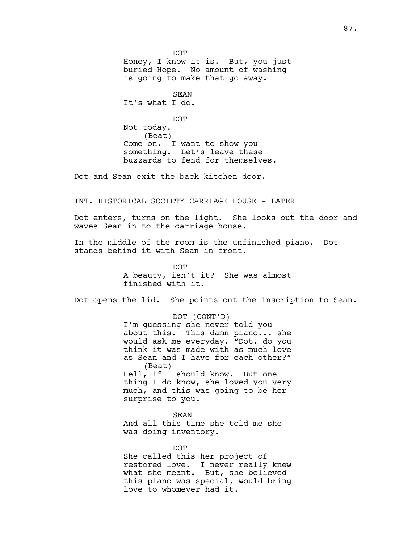DOT Honey, I know it is. But, you just buried Hope. No amount of washing is going to make that go away. SEAN It's what I do. DOT Not today. (Beat) Come on. I want to show you something. Let's leave these buzzards to fend for themselves.

Dot and Sean exit the back kitchen door.

INT. HISTORICAL SOCIETY CARRIAGE HOUSE - LATER

Dot enters, turns on the light. She looks out the door and waves Sean in to the carriage house.

In the middle of the room is the unfinished piano. Dot stands behind it with Sean in front.

> **DOT** A beauty, isn't it? She was almost finished with it.

Dot opens the lid. She points out the inscription to Sean.

DOT (CONT'D) I'm guessing she never told you about this. This damn piano... she would ask me everyday, "Dot, do you think it was made with as much love as Sean and I have for each other?" (Beat) Hell, if I should know. But one thing I do know, she loved you very much, and this was going to be her surprise to you.

**SEAN** And all this time she told me she was doing inventory.

DOT She called this her project of restored love. I never really knew what she meant. But, she believed this piano was special, would bring love to whomever had it.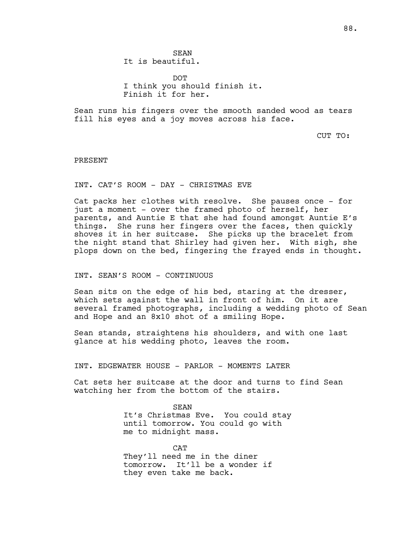SEAN It is beautiful.

DOT I think you should finish it. Finish it for her.

Sean runs his fingers over the smooth sanded wood as tears fill his eyes and a joy moves across his face.

CUT TO:

## PRESENT

INT. CAT'S ROOM - DAY - CHRISTMAS EVE

Cat packs her clothes with resolve. She pauses once - for just a moment - over the framed photo of herself, her parents, and Auntie E that she had found amongst Auntie E's things. She runs her fingers over the faces, then quickly shoves it in her suitcase. She picks up the bracelet from the night stand that Shirley had given her. With sigh, she plops down on the bed, fingering the frayed ends in thought.

## INT. SEAN'S ROOM - CONTINUOUS

Sean sits on the edge of his bed, staring at the dresser, which sets against the wall in front of him. On it are several framed photographs, including a wedding photo of Sean and Hope and an 8x10 shot of a smiling Hope.

Sean stands, straightens his shoulders, and with one last glance at his wedding photo, leaves the room.

INT. EDGEWATER HOUSE - PARLOR - MOMENTS LATER

Cat sets her suitcase at the door and turns to find Sean watching her from the bottom of the stairs.

> SEAN It's Christmas Eve. You could stay until tomorrow. You could go with me to midnight mass.

**CAT** They'll need me in the diner tomorrow. It'll be a wonder if they even take me back.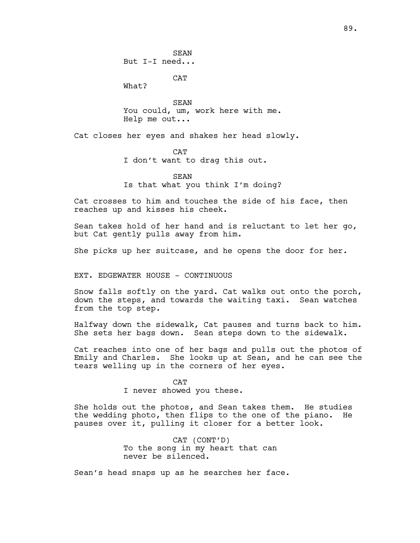**SEAN** But I-I need...

CAT

What?

SEAN You could, um, work here with me. Help me out...

Cat closes her eyes and shakes her head slowly.

**CAT** I don't want to drag this out.

**SEAN** Is that what you think I'm doing?

Cat crosses to him and touches the side of his face, then reaches up and kisses his cheek.

Sean takes hold of her hand and is reluctant to let her go, but Cat gently pulls away from him.

She picks up her suitcase, and he opens the door for her.

EXT. EDGEWATER HOUSE - CONTINUOUS

Snow falls softly on the yard. Cat walks out onto the porch, down the steps, and towards the waiting taxi. Sean watches from the top step.

Halfway down the sidewalk, Cat pauses and turns back to him. She sets her bags down. Sean steps down to the sidewalk.

Cat reaches into one of her bags and pulls out the photos of Emily and Charles. She looks up at Sean, and he can see the tears welling up in the corners of her eyes.

CAT

I never showed you these.

She holds out the photos, and Sean takes them. He studies the wedding photo, then flips to the one of the piano. He pauses over it, pulling it closer for a better look.

> CAT (CONT'D) To the song in my heart that can never be silenced.

Sean's head snaps up as he searches her face.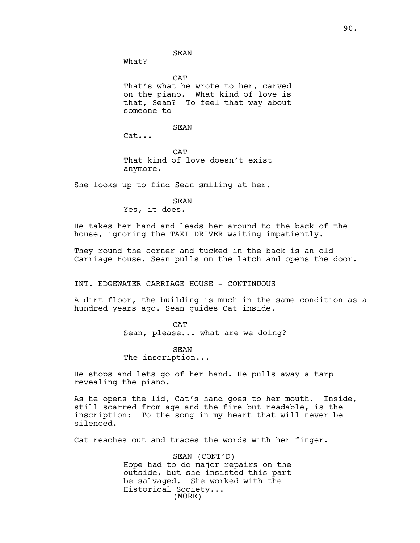SEAN

What?

**CAT** That's what he wrote to her, carved on the piano. What kind of love is that, Sean? To feel that way about someone to--

SEAN

Cat...

**CAT** That kind of love doesn't exist anymore.

She looks up to find Sean smiling at her.

SEAN

Yes, it does.

He takes her hand and leads her around to the back of the house, ignoring the TAXI DRIVER waiting impatiently.

They round the corner and tucked in the back is an old Carriage House. Sean pulls on the latch and opens the door.

INT. EDGEWATER CARRIAGE HOUSE - CONTINUOUS

A dirt floor, the building is much in the same condition as a hundred years ago. Sean guides Cat inside.

> CAT Sean, please... what are we doing?

SEAN The inscription...

He stops and lets go of her hand. He pulls away a tarp revealing the piano.

As he opens the lid, Cat's hand goes to her mouth. Inside, still scarred from age and the fire but readable, is the inscription: To the song in my heart that will never be silenced.

Cat reaches out and traces the words with her finger.

SEAN (CONT'D) Hope had to do major repairs on the outside, but she insisted this part be salvaged. She worked with the Historical Society... (MORE)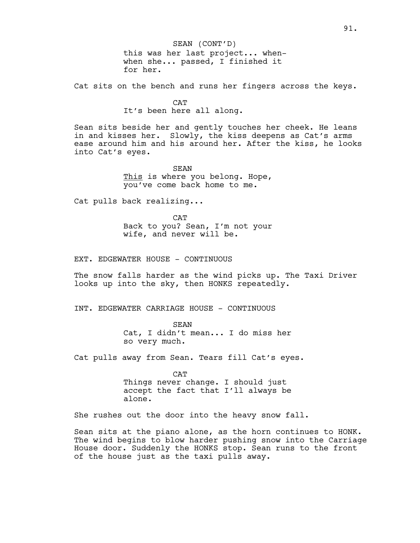this was her last project... whenwhen she... passed, I finished it for her. SEAN (CONT'D)

Cat sits on the bench and runs her fingers across the keys.

CAT It's been here all along.

Sean sits beside her and gently touches her cheek. He leans in and kisses her. Slowly, the kiss deepens as Cat's arms ease around him and his around her. After the kiss, he looks into Cat's eyes.

> **SEAN** This is where you belong. Hope, you've come back home to me.

Cat pulls back realizing...

**CAT** Back to you? Sean, I'm not your wife, and never will be.

EXT. EDGEWATER HOUSE - CONTINUOUS

The snow falls harder as the wind picks up. The Taxi Driver looks up into the sky, then HONKS repeatedly.

INT. EDGEWATER CARRIAGE HOUSE - CONTINUOUS

SEAN Cat, I didn't mean... I do miss her so very much.

Cat pulls away from Sean. Tears fill Cat's eyes.

CAT Things never change. I should just accept the fact that I'll always be alone.

She rushes out the door into the heavy snow fall.

Sean sits at the piano alone, as the horn continues to HONK. The wind begins to blow harder pushing snow into the Carriage House door. Suddenly the HONKS stop. Sean runs to the front of the house just as the taxi pulls away.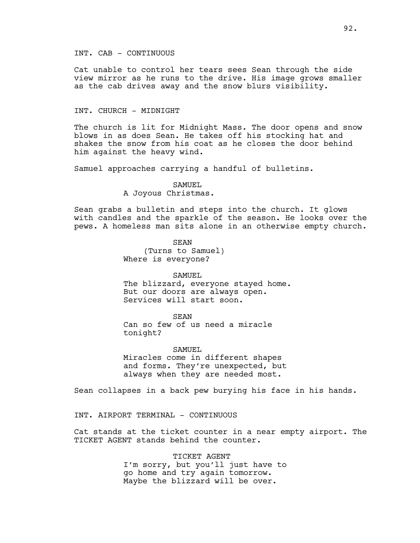# INT. CAB - CONTINUOUS

Cat unable to control her tears sees Sean through the side view mirror as he runs to the drive. His image grows smaller as the cab drives away and the snow blurs visibility.

### INT. CHURCH - MIDNIGHT

The church is lit for Midnight Mass. The door opens and snow blows in as does Sean. He takes off his stocking hat and shakes the snow from his coat as he closes the door behind him against the heavy wind.

Samuel approaches carrying a handful of bulletins.

## SAMUEL

A Joyous Christmas.

Sean grabs a bulletin and steps into the church. It glows with candles and the sparkle of the season. He looks over the pews. A homeless man sits alone in an otherwise empty church.

> SEAN (Turns to Samuel) Where is everyone?

SAMUEL The blizzard, everyone stayed home. But our doors are always open. Services will start soon.

## SEAN

Can so few of us need a miracle tonight?

SAMUEL. Miracles come in different shapes and forms. They're unexpected, but always when they are needed most.

Sean collapses in a back pew burying his face in his hands.

INT. AIRPORT TERMINAL - CONTINUOUS

Cat stands at the ticket counter in a near empty airport. The TICKET AGENT stands behind the counter.

> TICKET AGENT I'm sorry, but you'll just have to go home and try again tomorrow. Maybe the blizzard will be over.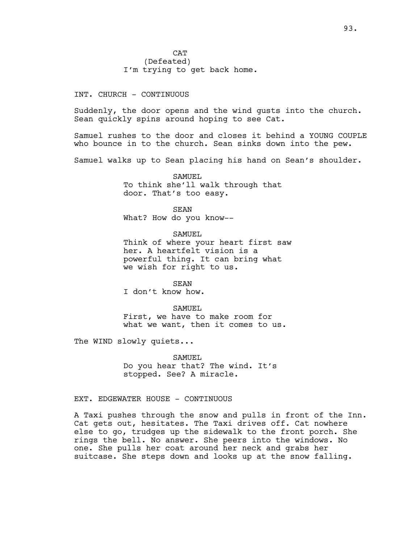**CAT** (Defeated) I'm trying to get back home.

INT. CHURCH - CONTINUOUS

Suddenly, the door opens and the wind gusts into the church. Sean quickly spins around hoping to see Cat.

Samuel rushes to the door and closes it behind a YOUNG COUPLE who bounce in to the church. Sean sinks down into the pew.

Samuel walks up to Sean placing his hand on Sean's shoulder.

SAMUEL To think she'll walk through that door. That's too easy.

SEAN What? How do you know--

SAMUEL Think of where your heart first saw

her. A heartfelt vision is a powerful thing. It can bring what we wish for right to us.

SEAN I don't know how.

SAMUEL. First, we have to make room for what we want, then it comes to us.

The WIND slowly quiets...

SAMUEL Do you hear that? The wind. It's stopped. See? A miracle.

## EXT. EDGEWATER HOUSE - CONTINUOUS

A Taxi pushes through the snow and pulls in front of the Inn. Cat gets out, hesitates. The Taxi drives off. Cat nowhere else to go, trudges up the sidewalk to the front porch. She rings the bell. No answer. She peers into the windows. No one. She pulls her coat around her neck and grabs her suitcase. She steps down and looks up at the snow falling.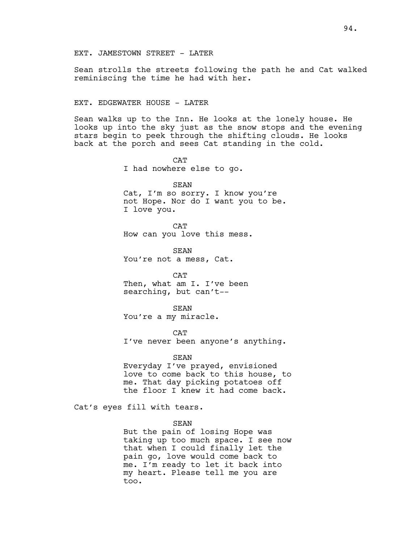EXT. JAMESTOWN STREET - LATER

Sean strolls the streets following the path he and Cat walked reminiscing the time he had with her.

### EXT. EDGEWATER HOUSE - LATER

Sean walks up to the Inn. He looks at the lonely house. He looks up into the sky just as the snow stops and the evening stars begin to peek through the shifting clouds. He looks back at the porch and sees Cat standing in the cold.

> **CAT** I had nowhere else to go.

SEAN Cat, I'm so sorry. I know you're not Hope. Nor do I want you to be. I love you.

CAT How can you love this mess.

SEAN You're not a mess, Cat.

CAT Then, what am I. I've been searching, but can't--

**SEAN** You're a my miracle.

**CAT** 

I've never been anyone's anything.

SEAN

Everyday I've prayed, envisioned love to come back to this house, to me. That day picking potatoes off the floor I knew it had come back.

Cat's eyes fill with tears.

SEAN

But the pain of losing Hope was taking up too much space. I see now that when I could finally let the pain go, love would come back to me. I'm ready to let it back into my heart. Please tell me you are too.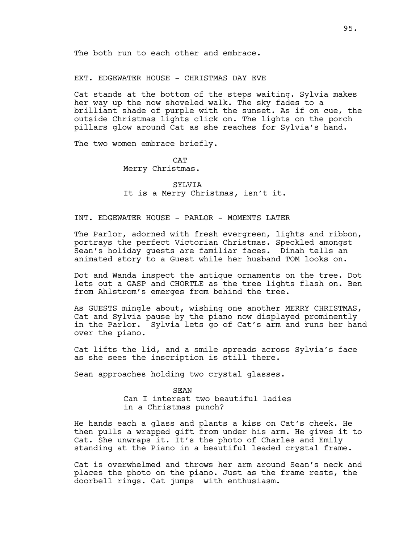EXT. EDGEWATER HOUSE - CHRISTMAS DAY EVE

Cat stands at the bottom of the steps waiting. Sylvia makes her way up the now shoveled walk. The sky fades to a brilliant shade of purple with the sunset. As if on cue, the outside Christmas lights click on. The lights on the porch pillars glow around Cat as she reaches for Sylvia's hand.

The two women embrace briefly.

**CAT** Merry Christmas.

## SYLVIA It is a Merry Christmas, isn't it.

## INT. EDGEWATER HOUSE - PARLOR - MOMENTS LATER

The Parlor, adorned with fresh evergreen, lights and ribbon, portrays the perfect Victorian Christmas. Speckled amongst Sean's holiday guests are familiar faces. Dinah tells an animated story to a Guest while her husband TOM looks on.

Dot and Wanda inspect the antique ornaments on the tree. Dot lets out a GASP and CHORTLE as the tree lights flash on. Ben from Ahlstrom's emerges from behind the tree.

As GUESTS mingle about, wishing one another MERRY CHRISTMAS, Cat and Sylvia pause by the piano now displayed prominently in the Parlor. Sylvia lets go of Cat's arm and runs her hand over the piano.

Cat lifts the lid, and a smile spreads across Sylvia's face as she sees the inscription is still there.

Sean approaches holding two crystal glasses.

SEAN Can I interest two beautiful ladies in a Christmas punch?

He hands each a glass and plants a kiss on Cat's cheek. He then pulls a wrapped gift from under his arm. He gives it to Cat. She unwraps it. It's the photo of Charles and Emily standing at the Piano in a beautiful leaded crystal frame.

Cat is overwhelmed and throws her arm around Sean's neck and places the photo on the piano. Just as the frame rests, the doorbell rings. Cat jumps with enthusiasm.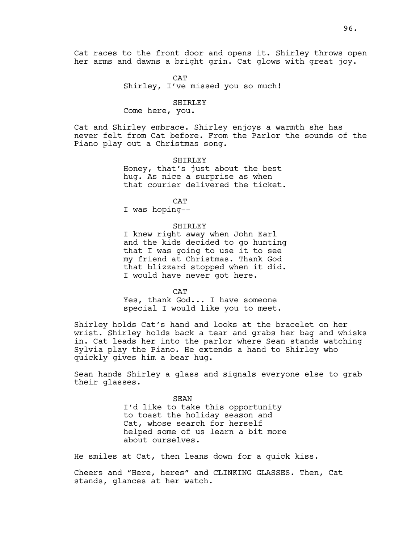Cat races to the front door and opens it. Shirley throws open her arms and dawns a bright grin. Cat glows with great joy.

> **CAT** Shirley, I've missed you so much!

#### SHIRLEY

Come here, you.

Cat and Shirley embrace. Shirley enjoys a warmth she has never felt from Cat before. From the Parlor the sounds of the Piano play out a Christmas song.

> SHIRLEY Honey, that's just about the best hug. As nice a surprise as when that courier delivered the ticket.

> > CAT

I was hoping--

## SHIRLEY

I knew right away when John Earl and the kids decided to go hunting that I was going to use it to see my friend at Christmas. Thank God that blizzard stopped when it did. I would have never got here.

**CAT** 

Yes, thank God... I have someone special I would like you to meet.

Shirley holds Cat's hand and looks at the bracelet on her wrist. Shirley holds back a tear and grabs her bag and whisks in. Cat leads her into the parlor where Sean stands watching Sylvia play the Piano. He extends a hand to Shirley who quickly gives him a bear hug.

Sean hands Shirley a glass and signals everyone else to grab their glasses.

> SEAN I'd like to take this opportunity to toast the holiday season and Cat, whose search for herself helped some of us learn a bit more about ourselves.

He smiles at Cat, then leans down for a quick kiss.

Cheers and "Here, heres" and CLINKING GLASSES. Then, Cat stands, glances at her watch.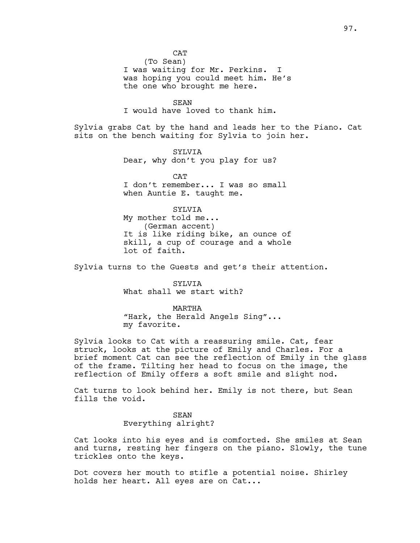**CAT** (To Sean) I was waiting for Mr. Perkins. I was hoping you could meet him. He's the one who brought me here.

SEAN I would have loved to thank him.

Sylvia grabs Cat by the hand and leads her to the Piano. Cat sits on the bench waiting for Sylvia to join her.

> SYLVIA Dear, why don't you play for us?

**CAT** I don't remember... I was so small when Auntie E. taught me.

SYLVIA My mother told me... (German accent) It is like riding bike, an ounce of skill, a cup of courage and a whole lot of faith.

Sylvia turns to the Guests and get's their attention.

SYLVIA What shall we start with?

MARTHA "Hark, the Herald Angels Sing"... my favorite.

Sylvia looks to Cat with a reassuring smile. Cat, fear struck, looks at the picture of Emily and Charles. For a brief moment Cat can see the reflection of Emily in the glass of the frame. Tilting her head to focus on the image, the reflection of Emily offers a soft smile and slight nod.

Cat turns to look behind her. Emily is not there, but Sean fills the void.

> SEAN Everything alright?

Cat looks into his eyes and is comforted. She smiles at Sean and turns, resting her fingers on the piano. Slowly, the tune trickles onto the keys.

Dot covers her mouth to stifle a potential noise. Shirley holds her heart. All eyes are on Cat...